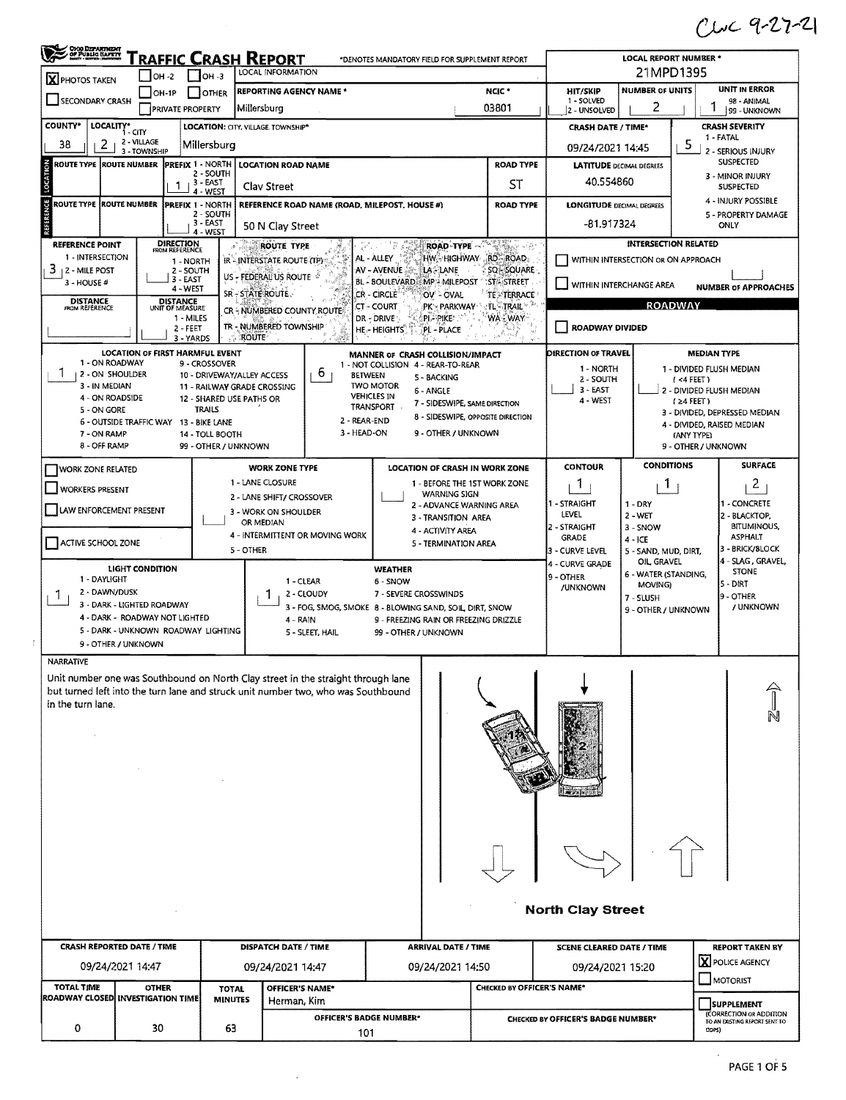$C112 - 9 - 27 - 21$ 

| <b>X</b> PHOTOS TAKEN                                                                                  |                        | $IOH -2$                           | $ OH - 3 $                             | Traffic Crash Report<br>LOCAL INFORMATION                 |                                 | *DENOTES MANDATORY FIELD FOR SUPPLEMENT REPORT                                                   |                                                                   |                            | <b>LOCAL REPORT NUMBER *</b><br>21MPD1395 |                                    |                                      |                                                                   |  |  |
|--------------------------------------------------------------------------------------------------------|------------------------|------------------------------------|----------------------------------------|-----------------------------------------------------------|---------------------------------|--------------------------------------------------------------------------------------------------|-------------------------------------------------------------------|----------------------------|-------------------------------------------|------------------------------------|--------------------------------------|-------------------------------------------------------------------|--|--|
|                                                                                                        |                        | IOH-1P                             | I IOTHER                               |                                                           | <b>REPORTING AGENCY NAME *</b>  |                                                                                                  | <b>UNIT IN ERROR</b><br><b>NUMBER OF UNITS</b><br><b>HIT/SKIP</b> |                            |                                           |                                    |                                      |                                                                   |  |  |
| SECONDARY CRASH                                                                                        |                        | <b>PRIVATE PROPERTY</b>            |                                        | Millersburg                                               |                                 |                                                                                                  |                                                                   | 03801                      | 1 - SOLVED<br>2 - UNSOLVED                | 2                                  |                                      | 98 - ANIMAL<br>99 - UNKNOWN                                       |  |  |
| <b>COUNTY*</b><br>LOCALITY* CITY                                                                       |                        |                                    |                                        | LOCATION: CITY, VILLAGE. TOWNSHIP*                        |                                 |                                                                                                  |                                                                   |                            | <b>CRASH DATE / TIME*</b>                 |                                    |                                      | <b>CRASH SEVERITY</b>                                             |  |  |
| 38                                                                                                     | 2 - VILLAGE            |                                    | Millersburg                            |                                                           |                                 |                                                                                                  |                                                                   |                            |                                           |                                    | 5                                    | 1 - FATAL                                                         |  |  |
| 2                                                                                                      | 3 - TOWNSHIP           |                                    |                                        |                                                           |                                 |                                                                                                  |                                                                   |                            | 09/24/2021 14:45                          |                                    |                                      | 2 - SERIOUS INJURY                                                |  |  |
| <b>ROUTE TYPE ROUTE NUMBER</b>                                                                         |                        |                                    | <b>PREFIX 1 - NORTH</b><br>2 - SOUTH   | <b>LOCATION ROAD NAME</b>                                 |                                 |                                                                                                  |                                                                   | <b>ROAD TYPE</b>           | <b>LATITUDE DECIMAL DEGREES</b>           |                                    |                                      | <b>SUSPECTED</b><br>3 - MINOR INJURY                              |  |  |
|                                                                                                        |                        |                                    | 3-EAST<br>4 - WEST                     | <b>Clay Street</b>                                        |                                 |                                                                                                  |                                                                   | ST                         | 40.554860                                 |                                    |                                      | <b>SUSPECTED</b>                                                  |  |  |
| 5<br><b>ROUTE TYPE ROUTE NUMBER</b>                                                                    |                        |                                    | <b>IPREFIX 1 - NORTH</b>               |                                                           |                                 | REFERENCE ROAD NAME (ROAD, MILEPOST, HOUSE #)                                                    |                                                                   | <b>ROAD TYPE</b>           | <b>LONGITUDE DECIMAL DEGREES</b>          |                                    |                                      | 4 - INJURY POSSIBLE                                               |  |  |
|                                                                                                        |                        |                                    | 2 - SOUTH<br>$3 - EAST$                |                                                           |                                 |                                                                                                  |                                                                   |                            | -81.917324                                |                                    |                                      | 5 - PROPERTY DAMAGE<br>ONLY                                       |  |  |
|                                                                                                        |                        |                                    | 4 - WEST                               | 50 N Clay Street                                          |                                 |                                                                                                  |                                                                   |                            |                                           |                                    |                                      |                                                                   |  |  |
| <b>REFERENCE POINT</b><br>1 - INTERSECTION                                                             |                        | <b>DIRECTION</b><br>FROM REFERENCE |                                        | <b>ROUTE TYPE</b>                                         |                                 | w<br>AL - ALLEY                                                                                  | <b>ROAD TYPE</b><br>HW HIGHWAY RD ROAD.                           | AT DES 15                  |                                           | <b>INTERSECTION RELATED</b>        |                                      |                                                                   |  |  |
| 3<br>  2 - MILE POST                                                                                   |                        |                                    | 1 - NORTH<br>2 - SOUTH                 | IR - INTERSTATE ROUTE (TP)                                |                                 | AV - AVENUE                                                                                      | <b>LA</b> - LANE                                                  | SQ - SQUARE                |                                           | WITHIN INTERSECTION OR ON APPROACH |                                      |                                                                   |  |  |
| $3 - HOUSE$ #                                                                                          |                        | 3 - EAST<br>$4 - WEST$             |                                        | US - FEDERAL US ROUTE                                     |                                 | BL - BOULEVARD MP - MILEPOST ST - STREET                                                         |                                                                   |                            | WITHIN INTERCHANGE AREA                   |                                    |                                      | <b>NUMBER OF APPROACHES</b>                                       |  |  |
| <b>DISTANCE</b><br>FROM REFERENCE                                                                      |                        | DISTANCE<br>UNIT OF MEASURE        |                                        | SR-STATEROUTE.                                            |                                 | CR - CIRCLE<br>CT - COURT                                                                        | OV - OVAL<br>PK - PARKWAY ` : TL - TRAIL`                         | TE - TERRACE               |                                           | <b>ROADWAY</b>                     |                                      |                                                                   |  |  |
|                                                                                                        |                        |                                    | 1 - MILES                              |                                                           | CR-NUMBERED COUNTY ROUTE        | DR - DRIVE:                                                                                      | PI-PIKE                                                           | WA - WAY                   |                                           |                                    |                                      |                                                                   |  |  |
|                                                                                                        |                        | 2 - FEET                           | 3 - YARDS                              | TR - NUMBERED TOWNSHIP<br><b>ROUTE</b>                    |                                 | HE - HEIGHTS                                                                                     | PL - PLACE                                                        |                            | ROADWAY DIVIDED                           |                                    |                                      |                                                                   |  |  |
|                                                                                                        |                        |                                    | <b>LOCATION OF FIRST HARMFUL EVENT</b> |                                                           |                                 | MANNER OF CRASH COLLISION/IMPACT                                                                 |                                                                   |                            | DIRECTION OF TRAVEL                       |                                    |                                      | <b>MEDIAN TYPE</b>                                                |  |  |
| 1 - ON ROADWAY                                                                                         |                        |                                    | 9 - CROSSOVER                          |                                                           |                                 | 1 - NOT COLLISION 4 - REAR-TO-REAR                                                               |                                                                   |                            | 1 - NORTH                                 |                                    |                                      | 1 - DIVIDED FLUSH MEDIAN                                          |  |  |
| 12 - ON SHOULDER<br>3 - IN MEDIAN                                                                      |                        |                                    |                                        | 10 - DRIVEWAY/ALLEY ACCESS<br>11 - RAILWAY GRADE CROSSING | 6.                              | BETWEEN<br><b>TWO MOTOR</b>                                                                      | 5 - BACKING                                                       |                            | 2 - SOUTH                                 |                                    | (4 FERT)                             |                                                                   |  |  |
| 4 - ON ROADSIDE                                                                                        |                        |                                    |                                        | 12 - SHARED USE PATHS OR                                  |                                 | <b>VEHICLES IN</b>                                                                               | 6 - ANGLE<br>7 - SIDESWIPE, SAME DIRECTION                        |                            | 3 - EAST<br>4 - WEST                      |                                    | $(24$ FEET)                          | 2 - DIVIDED FLUSH MEDIAN                                          |  |  |
| 5 - ON GORE                                                                                            |                        |                                    | <b>TRAILS</b>                          |                                                           |                                 | TRANSPORT<br>2 - REAR-END                                                                        | 8 - SIDESWIPE, OPPOSITE DIRECTION                                 |                            |                                           |                                    |                                      | 3 - DIVIDED, DEPRESSED MEDIAN                                     |  |  |
| 6 - OUTSIDE TRAFFIC WAY 13 - BIKE LANE<br>7 - ON RAMP                                                  |                        |                                    | 14 - TOLL BOOTH                        |                                                           |                                 | 3 - HEAD-ON                                                                                      | 9 - OTHER / UNKNOWN                                               |                            |                                           |                                    | (ANY TYPE)                           | 4 - DIVIDED, RAISED MEDIAN                                        |  |  |
| 8 - OFF RAMP                                                                                           |                        |                                    | 99 - OTHER / UNKNOWN                   |                                                           |                                 |                                                                                                  |                                                                   |                            |                                           |                                    | 9 - OTHER / UNKNOWN                  |                                                                   |  |  |
| <b>WORK ZONE RELATED</b>                                                                               |                        |                                    |                                        | <b>WORK ZONE TYPE</b>                                     |                                 |                                                                                                  | <b>LOCATION OF CRASH IN WORK ZONE</b>                             |                            | <b>CONTOUR</b>                            | <b>CONDITIONS</b>                  |                                      | <b>SURFACE</b>                                                    |  |  |
| <b>WORKERS PRESENT</b>                                                                                 |                        |                                    |                                        | 1 - LANE CLOSURE                                          |                                 |                                                                                                  | 1 - BEFORE THE 1ST WORK ZONE                                      |                            | 1                                         | 1                                  |                                      | $\overline{c}$                                                    |  |  |
|                                                                                                        |                        |                                    |                                        | 2 - LANE SHIFT/ CROSSOVER                                 |                                 |                                                                                                  | <b>WARNING SIGN</b><br>2 - ADVANCE WARNING AREA                   | 1 - STRAIGHT               | $1 - DRY$                                 |                                    | 1 - CONCRETE                         |                                                                   |  |  |
| LAW ENFORCEMENT PRESENT                                                                                |                        |                                    |                                        | 3 - WORK ON SHOULDER<br>OR MEDIAN                         |                                 |                                                                                                  | 3 - TRANSITION AREA                                               | LEVEL                      | 2 - WET                                   |                                    | 2 - BLACKTOP,                        |                                                                   |  |  |
|                                                                                                        |                        |                                    |                                        |                                                           | 4 - INTERMITTENT OR MOVING WORK |                                                                                                  | 4 - ACTIVITY AREA                                                 |                            | 2 - STRAIGHT<br><b>GRADE</b>              | 3 - SNOW                           | <b>BITUMINOUS,</b><br><b>ASPHALT</b> |                                                                   |  |  |
| <b>ACTIVE SCHOOL ZONE</b>                                                                              |                        |                                    |                                        | 5 - OTHER                                                 |                                 |                                                                                                  | 5 - TERMINATION AREA                                              |                            | 3 - CURVE LEVEL                           | $4 - ICE$<br>5 - SAND, MUD, DIRT,  |                                      | 3 - BRICK/BLOCK                                                   |  |  |
|                                                                                                        | <b>LIGHT CONDITION</b> |                                    |                                        |                                                           |                                 | <b>WEATHER</b>                                                                                   |                                                                   |                            | <b>4 - CURVE GRADE</b>                    | OIL, GRAVEL                        |                                      | 4 - SLAG, GRAVEL,<br><b>STONE</b>                                 |  |  |
| 1 - DAYLIGHT                                                                                           |                        |                                    |                                        |                                                           | 1 - CLEAR                       | 6 - SNOW                                                                                         |                                                                   |                            | 9 - OTHER<br><b>/UNKNOWN</b>              | 6 - WATER (STANDING,<br>MOVING)    |                                      | 5 - DIRT                                                          |  |  |
| 2 - DAWN/DUSK<br>1<br>3 - DARK - LIGHTED ROADWAY                                                       |                        |                                    |                                        | ı                                                         | 2 - CLOUDY                      | 7 - SEVERE CROSSWINDS                                                                            |                                                                   |                            |                                           | 7 - SLUSH<br>9 - OTHER / UNKNOWN   |                                      | 9 - OTHER                                                         |  |  |
| 4 - DARK - ROADWAY NOT LIGHTED                                                                         |                        |                                    |                                        |                                                           | 4 - RAIN                        | 3 - FOG, SMOG, SMOKE 8 - BLOWING SAND, SOIL, DIRT, SNOW<br>9 - FREEZING RAIN OR FREEZING DRIZZLE |                                                                   |                            |                                           | / UNKNOWN                          |                                      |                                                                   |  |  |
| 5 - DARK - UNKNOWN ROADWAY LIGHTING                                                                    |                        |                                    |                                        |                                                           | 5 - SLEET, HAIL                 | 99 - OTHER / UNKNOWN                                                                             |                                                                   |                            |                                           |                                    |                                      |                                                                   |  |  |
| 9 - OTHER / UNKNOWN                                                                                    |                        |                                    |                                        |                                                           |                                 |                                                                                                  |                                                                   |                            |                                           |                                    |                                      |                                                                   |  |  |
| <b>NARRATIVE</b>                                                                                       |                        |                                    |                                        |                                                           |                                 |                                                                                                  |                                                                   |                            |                                           |                                    |                                      |                                                                   |  |  |
| Unit number one was Southbound on North Clay street in the straight through lane                       |                        |                                    |                                        |                                                           |                                 |                                                                                                  |                                                                   |                            |                                           |                                    |                                      |                                                                   |  |  |
| but turned left into the turn lane and struck unit number two, who was Southbound<br>in the turn lane. |                        |                                    |                                        |                                                           |                                 |                                                                                                  |                                                                   |                            |                                           |                                    |                                      |                                                                   |  |  |
|                                                                                                        |                        |                                    |                                        |                                                           |                                 |                                                                                                  |                                                                   |                            |                                           |                                    |                                      |                                                                   |  |  |
|                                                                                                        |                        |                                    |                                        |                                                           |                                 |                                                                                                  |                                                                   |                            |                                           |                                    |                                      |                                                                   |  |  |
|                                                                                                        |                        |                                    |                                        |                                                           |                                 |                                                                                                  |                                                                   |                            |                                           |                                    |                                      |                                                                   |  |  |
|                                                                                                        |                        |                                    |                                        |                                                           |                                 |                                                                                                  |                                                                   |                            |                                           |                                    |                                      |                                                                   |  |  |
|                                                                                                        |                        |                                    |                                        |                                                           |                                 |                                                                                                  |                                                                   |                            |                                           |                                    |                                      |                                                                   |  |  |
|                                                                                                        |                        |                                    |                                        |                                                           |                                 |                                                                                                  |                                                                   |                            |                                           |                                    |                                      |                                                                   |  |  |
|                                                                                                        |                        |                                    |                                        |                                                           |                                 |                                                                                                  |                                                                   |                            |                                           |                                    |                                      |                                                                   |  |  |
|                                                                                                        |                        |                                    |                                        |                                                           |                                 |                                                                                                  |                                                                   |                            |                                           |                                    |                                      |                                                                   |  |  |
|                                                                                                        |                        |                                    |                                        |                                                           |                                 |                                                                                                  |                                                                   |                            |                                           |                                    |                                      |                                                                   |  |  |
|                                                                                                        |                        |                                    |                                        |                                                           |                                 |                                                                                                  |                                                                   |                            |                                           |                                    |                                      |                                                                   |  |  |
|                                                                                                        |                        |                                    |                                        |                                                           |                                 |                                                                                                  |                                                                   |                            |                                           |                                    |                                      |                                                                   |  |  |
|                                                                                                        |                        |                                    |                                        |                                                           |                                 |                                                                                                  |                                                                   |                            |                                           |                                    |                                      |                                                                   |  |  |
|                                                                                                        |                        |                                    |                                        |                                                           |                                 |                                                                                                  |                                                                   |                            | <b>North Clay Street</b>                  |                                    |                                      |                                                                   |  |  |
|                                                                                                        |                        |                                    |                                        |                                                           |                                 |                                                                                                  |                                                                   |                            |                                           |                                    |                                      |                                                                   |  |  |
|                                                                                                        |                        |                                    |                                        | <b>DISPATCH DATE / TIME</b>                               |                                 |                                                                                                  | <b>ARRIVAL DATE / TIME</b>                                        |                            | <b>SCENE CLEARED DATE / TIME</b>          |                                    |                                      | <b>REPORT TAKEN BY</b>                                            |  |  |
| <b>CRASH REPORTED DATE / TIME</b>                                                                      | 09/24/2021 14:47       |                                    |                                        |                                                           | 09/24/2021 14:47                |                                                                                                  | 09/24/2021 14:50                                                  |                            | 09/24/2021 15:20                          |                                    |                                      | <b>X</b> POLICE AGENCY                                            |  |  |
|                                                                                                        |                        |                                    |                                        |                                                           |                                 |                                                                                                  |                                                                   |                            |                                           |                                    |                                      |                                                                   |  |  |
| <b>TOTAL TIME</b>                                                                                      |                        | <b>OTHER</b>                       | <b>TOTAL</b>                           |                                                           | OFFICER'S NAME*                 |                                                                                                  |                                                                   | CHECKED BY OFFICER'S NAME* |                                           |                                    |                                      | MOTORIST                                                          |  |  |
| ROADWAY CLOSED INVESTIGATION TIME                                                                      |                        |                                    | <b>MINUTES</b>                         |                                                           | Herman, Kim                     |                                                                                                  |                                                                   |                            |                                           |                                    |                                      | SUPPLEMENT                                                        |  |  |
| 0                                                                                                      |                        | 30                                 | 63                                     |                                                           |                                 | OFFICER'S BADGE NUMBER*                                                                          |                                                                   |                            | CHECKED BY OFFICER'S BADGE NUMBER*        |                                    |                                      | (CORRECTION OR ADDITION<br>TO AN EXISTING REPORT SENT TO<br>COPS) |  |  |

 $\sim 10^6$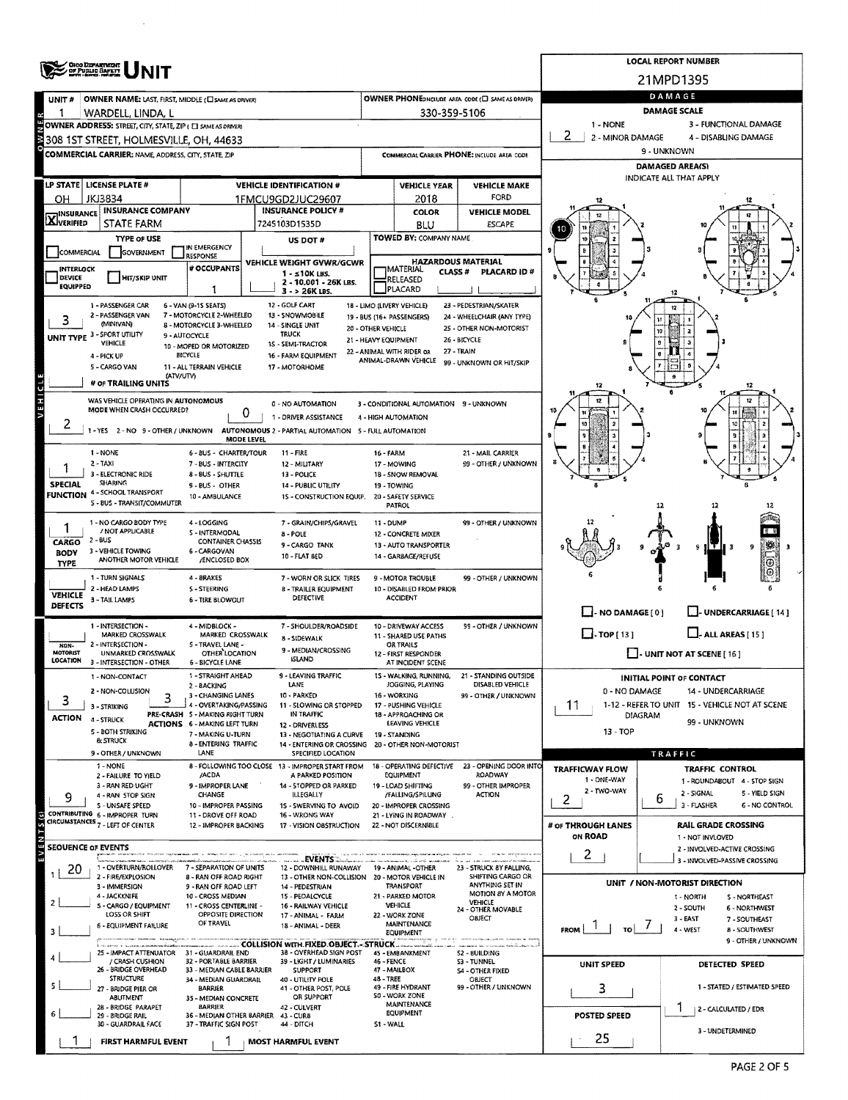|                            | <b>ORO DEPARTMENT</b><br>OF PUBLIC BAFETY                                                                                                      |                                                          |                                                  |                                                |                           |                                                        |                                                   |                                                | <b>LOCAL REPORT NUMBER</b>                                    |                                       |  |  |  |
|----------------------------|------------------------------------------------------------------------------------------------------------------------------------------------|----------------------------------------------------------|--------------------------------------------------|------------------------------------------------|---------------------------|--------------------------------------------------------|---------------------------------------------------|------------------------------------------------|---------------------------------------------------------------|---------------------------------------|--|--|--|
|                            |                                                                                                                                                |                                                          |                                                  |                                                |                           |                                                        |                                                   | 21MPD1395                                      |                                                               |                                       |  |  |  |
| UNIT #                     | OWNER NAME: LAST, FIRST, MIDDLE (C) SAME AS DRIVER)                                                                                            |                                                          |                                                  |                                                |                           |                                                        | OWNER PHONE:INCLUDE AREA CODE (E) SAME AS DRIVER) | DAMAGE                                         |                                                               |                                       |  |  |  |
|                            | WARDELL, LINDA, L                                                                                                                              |                                                          |                                                  |                                                |                           | 330-359-5106                                           |                                                   | <b>DAMAGE SCALE</b>                            |                                                               |                                       |  |  |  |
|                            | <b>22 1   WARDELL, LINDA, L<br/>2 OWNER ADDRESS:</b> STREET, CITY, STATE, ZIP ( EI SAME AS DRIVER)<br>3 308 1ST STREET, HOLMESVILLE, OH, 44633 |                                                          |                                                  |                                                |                           |                                                        |                                                   | 1 - NONE<br>3 - FUNCTIONAL DAMAGE<br>2         |                                                               |                                       |  |  |  |
|                            |                                                                                                                                                |                                                          |                                                  |                                                |                           |                                                        |                                                   | 2 - MINOR DAMAGE<br>4 - DISABLING DAMAGE       |                                                               |                                       |  |  |  |
|                            | COMMERCIAL CARRIER: NAME, ADDRESS, CITY, STATE, ZIP                                                                                            |                                                          |                                                  |                                                |                           |                                                        | COMMERCIAL CARRIER PHONE: INCLUDE AREA CODE       | 9 - UNKNOWN<br><b>DAMAGED AREA(S)</b>          |                                                               |                                       |  |  |  |
|                            |                                                                                                                                                |                                                          |                                                  |                                                |                           |                                                        |                                                   | INDICATE ALL THAT APPLY                        |                                                               |                                       |  |  |  |
|                            | LP STATE LICENSE PLATE #                                                                                                                       |                                                          | <b>VEHICLE IDENTIFICATION #</b>                  |                                                |                           | <b>VEHICLE YEAR</b>                                    | <b>VEHICLE MAKE</b><br>FORD                       |                                                |                                                               |                                       |  |  |  |
| OН                         | JKJ3834<br><b>INSURANCE COMPANY</b>                                                                                                            |                                                          | 1FMCU9GD2JUC29607<br><b>INSURANCE POLICY #</b>   |                                                |                           | 2018<br>COLOR                                          | <b>VEHICLE MODEL</b>                              |                                                |                                                               |                                       |  |  |  |
| <b>X</b> INSURANCE         | <b>STATE FARM</b>                                                                                                                              |                                                          | 7245103D1535D                                    |                                                |                           | <b>BLU</b>                                             | <b>ESCAPE</b>                                     |                                                |                                                               |                                       |  |  |  |
|                            | <b>TYPE OF USE</b>                                                                                                                             |                                                          | US DOT #                                         |                                                |                           | TOWED BY: COMPANY NAME                                 |                                                   |                                                |                                                               |                                       |  |  |  |
| COMMERCIAL                 | <b>GOVERNMENT</b>                                                                                                                              | IN EMERGENCY<br><b>RESPONSE</b>                          |                                                  |                                                |                           |                                                        |                                                   |                                                |                                                               |                                       |  |  |  |
| INTERLOCK                  |                                                                                                                                                | # OCCUPANTS                                              | VEHICLE WEIGHT GVWR/GCWR<br>$1 - 510K$ LBS.      |                                                |                           | HAZARDOUS MATERIAL<br><b>MATERIAL</b><br><b>CLASS#</b> | PLACARD ID#                                       |                                                |                                                               |                                       |  |  |  |
| DEVICE<br><b>EQUIPPED</b>  | <b>HIT/SKIP UNIT</b>                                                                                                                           | 1                                                        |                                                  | 2 - 10.001 - 26K LBS.                          |                           | RELEASED<br>PLACARD                                    |                                                   |                                                |                                                               |                                       |  |  |  |
|                            | 1 - PASSENGER CAR                                                                                                                              | 6 - VAN (9-15 SEATS)                                     | 3 - > 26K LBS.<br>12 - GOLF CART                 |                                                |                           | 18 - LIMO (LIVERY VEHICLE)                             | 23 - PEDESTRIAN/SKATER                            |                                                |                                                               |                                       |  |  |  |
|                            | 2 - PASSENGER VAN                                                                                                                              | 7 - MOTORCYCLE 2-WHEELED                                 | 13 - SNOWMOBILE                                  |                                                |                           | 19 - BUS (16+ PASSENGERS)                              | 24 - WHEELCHAIR (ANY TYPE)                        |                                                |                                                               |                                       |  |  |  |
| UNIT TYPE <sup>3</sup>     | (MINIVAN)<br>- SPORT UTILITY                                                                                                                   | 8 - MOTORCYCLE 3-WHEELED<br>9 - AUTOCYCLE                | 14 - SINGLE UNIT<br><b>TRUCK</b>                 | 20 - OTHER VEHICLE                             |                           |                                                        | 25 - OTHER NON-MOTORIST                           |                                                |                                                               |                                       |  |  |  |
|                            | VEHICLE                                                                                                                                        | 10 - MOPED OR MOTORIZED                                  | 15 - SEMI-TRACTOR                                | 21 - HEAVY EQUIPMENT                           |                           | 22 - ANIMAL WITH RIDER OR                              | 26 - BICYCLE<br>27 - TRAIN                        |                                                |                                                               |                                       |  |  |  |
|                            | 4 - PICK UP<br>5 - CARGO VAN                                                                                                                   | BICYCLE<br>11 - ALL TERRAIN VEHICLE                      | 16 - FARM EQUIPMENT<br>17 - MOTORHOME            |                                                |                           | ANIMAL-DRAWN VEHICLE                                   | 99 - UNKNOWN OR HIT/SKIP                          |                                                |                                                               |                                       |  |  |  |
|                            | (ATV/UTV)<br># OF TRAILING UNITS                                                                                                               |                                                          |                                                  |                                                |                           |                                                        |                                                   |                                                |                                                               |                                       |  |  |  |
|                            |                                                                                                                                                |                                                          |                                                  |                                                |                           |                                                        |                                                   | 12                                             |                                                               | 12                                    |  |  |  |
| VEHICLE                    | WAS VEHICLE OPERATING IN AUTONOMOUS<br>MODE WHEN CRASH OCCURRED?                                                                               | 0                                                        | 0 - NO AUTOMATION                                |                                                |                           | 3 - CONDITIONAL AUTOMATION 9 - UNKNOWN                 |                                                   | 12                                             |                                                               | 12                                    |  |  |  |
| z                          |                                                                                                                                                |                                                          | 1 - DRIVER ASSISTANCE                            |                                                |                           | 4 - HIGH AUTOMATION                                    |                                                   |                                                |                                                               |                                       |  |  |  |
|                            | 1 - YES 2 - NO 9 - OTHER / UNKNOWN AUTONOMOUS 2 - PARTIAL AUTOMATION 5 - FULL AUTOMATION                                                       | <b>MODE LEVEL</b>                                        |                                                  |                                                |                           |                                                        |                                                   |                                                |                                                               |                                       |  |  |  |
|                            | 1 - NONE                                                                                                                                       | 6 - BUS - CHARTER/TOUR                                   | 11 - FIRE                                        |                                                | 16 - FARM                 |                                                        | 21 - MAIL CARRIER                                 |                                                |                                                               |                                       |  |  |  |
|                            | $2 - TAXI$<br>3 - ELECTRONIC RIDE                                                                                                              | 7 - BUS - INTERCITY<br>8 BUS - SHUTTLE                   | 12 - MILITARY<br>13 - POLICE                     |                                                | 17 - MOWING               | 18 - SNOW REMOVAL                                      | 99 - OTHER / UNKNOWN                              |                                                |                                                               |                                       |  |  |  |
| <b>SPECIAL</b>             | <b>SHARING</b>                                                                                                                                 | 9 - BUS - OTHER                                          | 14 - PUBLIC UTILITY                              |                                                | 19 - TOWING               |                                                        |                                                   |                                                |                                                               |                                       |  |  |  |
|                            | <b>FUNCTION 4 - SCHOOL TRANSPORT</b><br>S - BUS - TRANSIT/COMMUTER                                                                             | 10 - AMBULANCE                                           |                                                  | 15 - CONSTRUCTION EQUIP.                       |                           | 20 - SAFETY SERVICE                                    |                                                   |                                                |                                                               |                                       |  |  |  |
|                            |                                                                                                                                                |                                                          |                                                  |                                                |                           | <b>PATROL</b>                                          |                                                   |                                                |                                                               |                                       |  |  |  |
|                            | 1 - NO CARGO BODY TYPE<br>/ NOT APPLICABLE                                                                                                     | 4 - LOGGING<br><b>S-INTERMODAL</b>                       | 8 - POLE                                         | 7 - GRAIN/CHIPS/GRAVEL                         | 11 - DUMP                 | 12 - CONCRETE MIXER                                    | 99 - OTHER / UNKNOWN                              |                                                |                                                               |                                       |  |  |  |
| <b>CARGO</b>               | $2 - BUS$                                                                                                                                      | <b>CONTAINER CHASSIS</b>                                 | 9 - CARGO TANK                                   |                                                |                           | 13 - AUTO TRANSPORTER                                  |                                                   |                                                |                                                               | 9                                     |  |  |  |
| <b>BODY</b><br><b>TYPE</b> | 3 - VEHICLE TOWING<br>ANOTHER MOTOR VEHICLE                                                                                                    | 6 - CARGOVAN<br>/ENCLOSED BOX                            | 10 - FLAT BED                                    |                                                |                           | 14 - GARBAGE/REFUSE                                    |                                                   |                                                |                                                               | Θ                                     |  |  |  |
|                            | 1 - TURN SIGNALS                                                                                                                               | 4 - BRAKES                                               |                                                  | 7 - WORN OR SLICK TIRES                        |                           | <b>9 - MOTOR TROUBLE</b>                               | 99 - OTHER / UNKNOWN                              |                                                |                                                               |                                       |  |  |  |
| <b>VEHICLE</b>             | 2 - HEAD LAMPS                                                                                                                                 | S - STEERING                                             | <b>DEFECTIVE</b>                                 | <b>B - TRAILER EQUIPMENT</b>                   |                           | 10 - DISABLED FROM PRIOR<br><b>ACCIDENT</b>            |                                                   |                                                |                                                               |                                       |  |  |  |
| <b>DEFECTS</b>             | 3 - TAIL LAMPS                                                                                                                                 | <b>6 - TIRE BLOWOUT</b>                                  |                                                  |                                                |                           |                                                        |                                                   | $\Box$ - NO DAMAGE $[0]$                       |                                                               | J- UNDERCARRIAGE [ 14 ]               |  |  |  |
|                            | 1 - INTERSECTION -                                                                                                                             | 4 - MIDBLOCK -                                           |                                                  | 7 - SHOULDER/ROADSIDE                          |                           | 10 - DRIVEWAY ACCESS                                   | 99 - OTHER / UNKNOWN                              |                                                |                                                               |                                       |  |  |  |
|                            | MARKED CROSSWALK<br>2 - INTERSECTION -                                                                                                         | MARKED CROSSWALK<br><b>S-TRAVEL LANE -</b>               | 8 - SIDEWALK                                     |                                                |                           | 11 - SHARED USE PATHS                                  |                                                   | $\Box$ - ALL AREAS [ 15 ]<br>$\Box$ TOP [ 13 ] |                                                               |                                       |  |  |  |
| NDN-<br><b>MOTORIST</b>    | UNMARKED CROSSWALK                                                                                                                             | OTHER LOCATION                                           | <b>ISLAND</b>                                    | 9 - MEDIAN/CROSSING                            |                           | OR TRAILS<br>12 - FIRST RESPONDER                      |                                                   |                                                | $\Box$ - UNIT NOT AT SCENE [ 16 ]                             |                                       |  |  |  |
| LOCATION                   | 3 - INTERSECTION - OTHER                                                                                                                       | <b>6 - BICYCLE LANE</b>                                  |                                                  |                                                |                           | AT INCIDENT SCENE                                      |                                                   |                                                |                                                               |                                       |  |  |  |
|                            | 1 - NON-CONTACT<br>2 - NON-COLLISION                                                                                                           | 1 - STRAIGHT AHEAD<br>2 - BACKING                        | LANE                                             | LEAVING TRAFFIC                                |                           | 15 - WALKING, RUNNING,<br>JOGGING, PLAYING             | 21<br>- STANDING OUTSIDE<br>DISABLED VEHICLE      | 0 - NO DAMAGE                                  | <b>INITIAL POINT OF CONTACT</b><br>14 - UNDERCARRIAGE         |                                       |  |  |  |
| 3                          | 3<br>3 - STRIKING                                                                                                                              | 3 - CHANGING LANES<br>4 - OVERTAKING/PASSING             | 10 - PARKED                                      | 11 - SLOWING OR STOPPED                        |                           | 16 - WORKING<br>17 - PUSHING VEHICLE                   | 99 - OTHER / UNKNOWN                              | 11                                             | 1-12 - REFER TO UNIT 15 - VEHICLE NOT AT SCENE                |                                       |  |  |  |
| <b>ACTION 4 - STRUCK</b>   |                                                                                                                                                | PRE-CRASH 5 - MAKING RIGHT TURN                          | <b>IN TRAFFIC</b>                                |                                                |                           | 18 - APPROACHING OR                                    |                                                   |                                                | <b>DIAGRAM</b>                                                |                                       |  |  |  |
|                            | 5 - BOTH STRIKING                                                                                                                              | <b>ACTIONS 6 - MAKING LEFT TURN</b><br>7 - MAKING U-TURN | 12 - DRIVERLESS                                  | 13 - NEGOTIATING A CURVE                       |                           | LEAVING VEHICLE<br>19 - STANDING                       |                                                   | 99 - UNKNOWN<br>13 - TOP                       |                                                               |                                       |  |  |  |
|                            | <b>&amp; STRUCK</b>                                                                                                                            | 8 - ENTERING TRAFFIC                                     |                                                  |                                                |                           | 14 - ENTERING OR CROSSING 20 - OTHER NON-MOTORIST      |                                                   |                                                |                                                               |                                       |  |  |  |
|                            | 9 - OTHER / UNXNOWN<br>1 - NONE                                                                                                                | LANE                                                     | 8 - FOLLOWING TOO CLOSE 13 - IMPROPER START FROM | SPECIFIED LOCATION                             |                           | 18 - OPERATING DEFECTIVE                               | 23 - OPENING DOOR INTO                            |                                                | TRAFFIC                                                       |                                       |  |  |  |
|                            | 2 - FAILURE TO YIELD                                                                                                                           | /ACDA                                                    |                                                  | A PARKED POSITION                              |                           | <b>EQUIPMENT</b>                                       | ROADWAY                                           | <b>TRAFFICWAY FLOW</b><br>1 - ONE-WAY          | <b>TRAFFIC CONTROL</b><br>1 - ROUNDABOUT 4 - STOP SIGN        |                                       |  |  |  |
| 9                          | 3 - RAN RED UGHT<br>4 - RAN STOP SIGN                                                                                                          | 9 - IMPROPER LANE<br>CHANGE                              | <b>ILLEGALLY</b>                                 | 14 - STOPPED OR PARKED                         |                           | 19 - LOAD SHIFTING<br>/FALLING/SPILLING                | 99 - OTHER IMPROPER<br><b>ACTION</b>              | 2 - TWO-WAY                                    | 2 - SIGNAL<br>6                                               | 5 - YIELD SIGN                        |  |  |  |
|                            | S - UNSAFE SPEED<br>CONTRIBUTING 6 - IMPROPER TURN                                                                                             | 10 - IMPROPER PASSING                                    |                                                  | 1S - SWERVING TO AVOID                         |                           | 20 - IMPROPER CROSSING                                 |                                                   | 2                                              | 3 - FLASHER                                                   | 6 - NO CONTROL                        |  |  |  |
| $S$ (s)                    | CIRCUMSTANCES 7 - LEFT OF CENTER                                                                                                               | 11 - DROVE OFF ROAD<br>12 - IMPROPER BACKING             | 16 - WRONG WAY                                   | 17 - VISION OBSTRUCTION                        |                           | 21 - LYING IN ROADWAY<br>22 - NOT DISCERNIBLE          |                                                   | # OF THROUGH LANES                             | <b>RAIL GRADE CROSSING</b>                                    |                                       |  |  |  |
|                            |                                                                                                                                                |                                                          |                                                  |                                                |                           |                                                        |                                                   | ON ROAD                                        | 1 - NOT INVLOVED                                              |                                       |  |  |  |
| <b>SEOUENCE OF EVENTS</b>  |                                                                                                                                                |                                                          |                                                  | ww.Events:                                     |                           |                                                        |                                                   | $\mathbf{2}$                                   | 2 - INVOLVED-ACTIVE CROSSING<br>3 - INVOLVED-PASSIVE CROSSING |                                       |  |  |  |
| 20                         | 1 - OVERTURN/ROLLOVER                                                                                                                          | 7 - SEPARATION OF UNITS                                  |                                                  | 12 - DOWNHILL RUNAWAY                          |                           | 19 - ANIMAL -OTHER                                     | 23 - STRUCK BY FALLING,<br>SHIFTING CARGO OR      |                                                |                                                               |                                       |  |  |  |
|                            | 2 - FIRE/EXPLOSION<br>3 - IMMERSION                                                                                                            | 8 - RAN OFF ROAD RIGHT<br>9 - RAN OFF ROAD LEFT          | 14 - PEDESTRIAN                                  | 13 - OTHER NON-COLLISION 20 - MOTOR VEHICLE IN |                           | <b>TRANSPORT</b>                                       | ANYTHING SET IN                                   |                                                | UNIT / NON-MOTORIST DIRECTION                                 |                                       |  |  |  |
|                            | 4 - JACKKNIFE<br>S - CARGO / EQUIPMENT                                                                                                         | 10 - CROSS MEDIAN<br>11 - CROSS CENTERLINE -             | 15 - PEDALCYCLE                                  | 16 - RAILWAY VEHICLE                           |                           | 21 - PARKED MOTOR<br>VEHICLE                           | <b>MOTION BY A MOTOR</b><br>VEHICLE               |                                                | 1 - NORTH                                                     | S - NORTHEAST                         |  |  |  |
|                            | LOSS OR SHIFT                                                                                                                                  | OPPOSITE DIRECTION                                       | 17 - ANIMAL - FARM                               |                                                |                           | 22 - WORK ZONE                                         | 24 - OTHER MOVABLE<br>OBJECT                      |                                                | 2 - SOUTH<br>$3 - EAST$                                       | <b>6 - NORTHWEST</b><br>7 - SOUTHEAST |  |  |  |
|                            | 6 - EQUIPMENT FAILURE                                                                                                                          | OF TRAVEL                                                | 18 - ANIMAL - DEER                               |                                                |                           | <b>MAINTENANCE</b><br>EQUIPMENT                        |                                                   | <b>FROM</b><br>TO.                             | 4 - WEST                                                      | <b>B - SOUTHWEST</b>                  |  |  |  |
|                            |                                                                                                                                                |                                                          | - COLLISION WITH FIXED OBJECT - STRUCK           | 38 - OVERHEAD SIGN POST                        |                           |                                                        |                                                   |                                                |                                                               | 9 - OTHER / UNKNOWN                   |  |  |  |
|                            | 25 - IMPACT ATTENUATOR<br>/ CRASH CUSHION                                                                                                      | 31 - GUARDRAIL END<br>32 - PORTABLE BARRIER              |                                                  | 39 - LIGHT / LUMINARIES                        | 46 - FENCE                | 45 EMBANKMENT                                          | 52 - BUILDING<br><b>S3 - TUNNEL</b>               | UNIT SPEED                                     | DETECTED SPEED                                                |                                       |  |  |  |
|                            | 26 - BRIDGE OVERHEAD<br><b>STRUCTURE</b>                                                                                                       | 33 - MEDIAN CABLE BARRIER<br>34 - MEDIAN GUARDRAIL       | <b>SUPPORT</b><br>40 - UTILITY POLE              |                                                | 47 - MAILBOX<br>48 - TREE |                                                        | <b>S4 - OTHER FIXED</b><br>OBJECT                 |                                                |                                                               |                                       |  |  |  |
|                            | 27 - BRIDGE PIER OR<br>ABUTMENT                                                                                                                | <b>BARRIER</b><br>35 - MEDIAN CONCRETE                   | OR SUPPORT                                       | 41 - OTHER POST, POLE                          |                           | 49 - FIRE HYDRANT<br>S0 - WORK ZONE                    | 99 - OTHER / UNKNOWN                              | 3                                              |                                                               | 1 - STATED / ESTIMATED SPEED          |  |  |  |
|                            | 28 - BRIDGE PARAPET                                                                                                                            | <b>BARRIER</b>                                           | 42 - CULVERT                                     |                                                |                           | MAINTENANCE<br><b>EQUIPMENT</b>                        |                                                   |                                                | 2 - CALCULATED / EDR                                          |                                       |  |  |  |
|                            | 29 - BRIDGE RAIL<br>30 - GUARDRAIL FACE                                                                                                        | 36 - MEDIAN OTHER BARRIER<br>37 - TRAFFIC SIGN POST      | 43 - CURB<br>44 - DITCH                          |                                                | S1 - WALL                 |                                                        |                                                   | POSTED SPEED                                   |                                                               |                                       |  |  |  |
|                            | <b>FIRST HARMFUL EVENT</b>                                                                                                                     |                                                          | MOST HARMFUL EVENT                               |                                                |                           |                                                        |                                                   | 25                                             | 3 - UNDETERMINED                                              |                                       |  |  |  |
|                            |                                                                                                                                                |                                                          |                                                  |                                                |                           |                                                        |                                                   |                                                |                                                               |                                       |  |  |  |

 $\mathcal{A}^{\mathcal{A}}$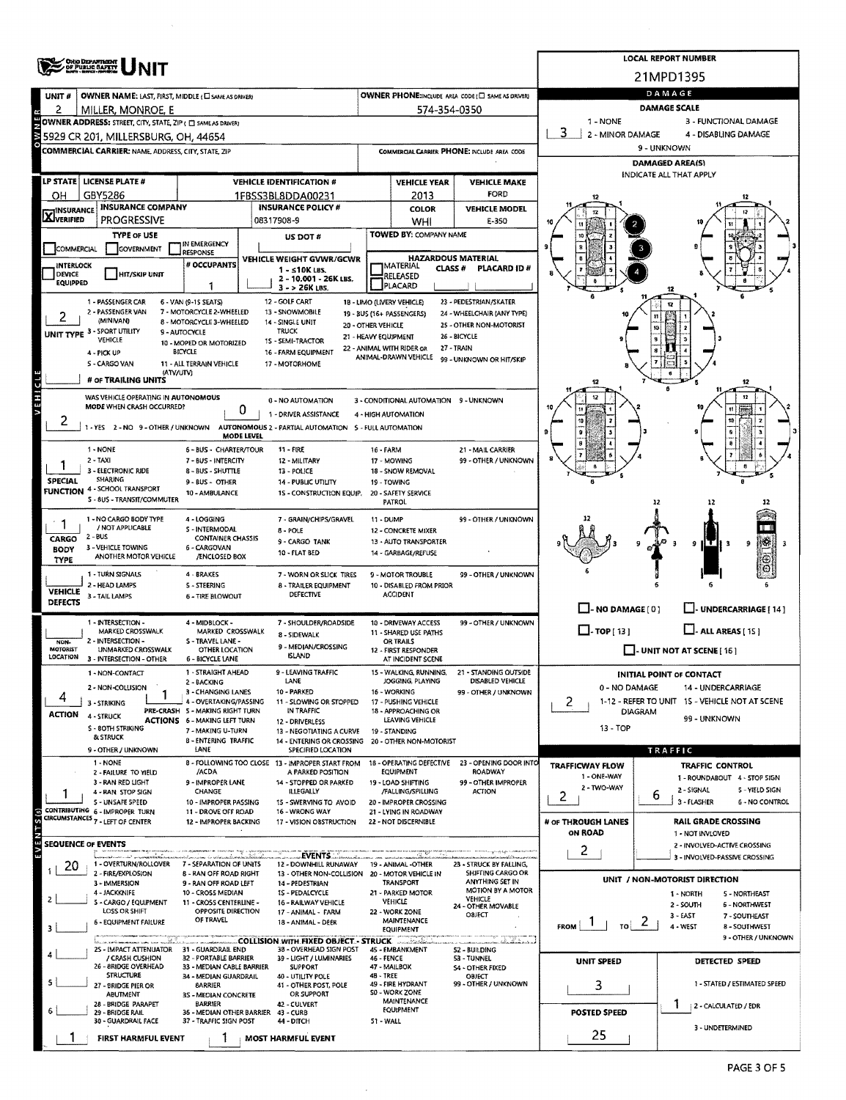| 21MPD1395<br>DAMAGE<br>OWNER PHONE:INCLUDE AREA CODE (E) SAME AS ORIVER)<br>OWNER NAME: LAST, FIRST, MIDDLE (C) SAME AS DRIVER!<br>UNIT#<br><b>DAMAGE SCALE</b><br>574-354-0350<br>2<br>MILLER, MONROE, E<br>1 - NONE<br>OWNER ADDRESS: STREET, CITY, STATE, ZIP ( C) SAMEAS DRIVER)<br>3 - FUNCTIONAL DAMAGE<br>3.<br>2 - MINOR DAMAGE<br>4 - DISABLING DAMAGE<br>5929 CR 201. MILLERSBURG. OH. 44654<br>9 - UNKNOWN<br>COMMERCIAL CARRIER: NAME, ADDRESS, CITY, STATE, ZIP<br>COMMERCIAL CARRIER PHONE: INCLUDE AREA CODE<br><b>DAMAGED AREA(S)</b><br>INDICATE ALL THAT APPLY<br><b>LICENSE PLATE#</b><br><b>LP STATE</b> I<br><b>VEHICLE IDENTIFICATION #</b><br><b>VEHICLE YEAR</b><br><b>VEHICLE MAKE</b><br><b>FORD</b><br>GBY5286<br>1FBSS3BL8DDA00231<br>2013<br>он<br><b>INSURANCE COMPANY</b><br><b>INSURANCE POLICY #</b><br><b>VEHICLE MODEL</b><br><b>COLOR</b><br><b>X</b> INSURANCE<br><b>PROGRESSIVE</b><br>08317908-9<br>WHI<br>E-350<br>TOWED BY: COMPANY NAME<br><b>TYPE OF USE</b><br>US DOT #<br>IN EMERGENCY<br>COMMERCIAL<br><b>GOVERNMENT</b><br>RESPONSE<br><b>HAZARDOUS MATERIAL</b><br>VEHICLE WEIGHT GVWR/GCWR<br># OCCUPANTS<br>INTERLOCK<br>MATERIAL<br>CLASS $#$<br>PLACARD ID#<br>$1 - s10K$ LBS.<br>DEVICE<br><b>HIT/SKIP UNIT</b><br>RELEASED<br>2 - 10.001 - 26K LBS.<br>EQUIPPED<br>PLACARD<br>1<br>$3 - 26K$ LBS.<br>1 - PASSENGER CAR<br>6 - VAN (9-15 SEATS)<br>12 - GOLF CART<br>18 - LIMO (LIVERY VEHICLE)<br>23 - PEDESTRIAN/SKATER<br>2 - PASSENGER VAN<br>7 - MOTORCYCLE 2-WHEELED<br>13 - SNOWMOBILE<br>19 - BUS (16+ PASSENGERS)<br>24 - WHEELCHAIR (ANY TYPE)<br>(MINIVAN)<br>8 - MOTORCYCLE 3-WHEELED<br>14 - SINGLE UNIT<br>20 - OTHER VEHICLE<br>25 - OTHER NON-MOTORIST<br>UNIT TYPE 3 - SPORT UTILITY<br><b>TRUCK</b><br>9 - AUTOCYCLE<br>26 - BICYCLE<br>21 - HEAVY EQUIPMENT<br>VEHICLE<br>15 - SEMI-TRACTOR<br>10 - MOPED OR MOTORIZED<br>27 - TRAIN<br>22 - ANIMAL WITH RIDER OR<br><b>BICYCLE</b><br>16 - FARM EQUIPMENT<br>4 - PICK UP<br>ANIMAL-DRAWN VEHICLE<br>99 - UNKNOWN OR HIT/SKIP<br><b>S-CARGO VAN</b><br>11 - ALL TERRAIN VEHICLE<br>17 - MOTORHOME<br>(ATV/UTV)<br>VEHICL<br># OF TRAILING UNITS<br>12<br>42<br>WAS VEHICLE OPERATING IN AUTONOMOUS<br>12<br><b>0 - NO AUTOMATION</b><br>3 - CONDITIONAL AUTOMATION 9 - UNKNOWN<br>MODE WHEN CRASH OCCURRED?<br>0<br>1 - DRIVER ASSISTANCE<br>4 - HIGH AUTOMATION<br>z<br>1 - YES 2 - NO 9 - OTHER / UNKNOWN<br>AUTONOMOUS 2 - PARTIAL AUTOMATION 5 - FULL AUTOMATION<br>я<br><b>MODE LEVEL</b><br>1 - NONE<br>6 - BUS - CHARTER/TOUR<br>11 - FIRE<br>21 - MAIL CARRIER<br>16 - FARM<br>$2 - TAXI$<br>99 - OTHER / UNKNOWN<br>7 - BUS - INTERCITY<br>12 - MILITARY<br>17 - MOWING<br>3 - ELECTRONIC RIDE<br>8 - BUS - SHUTTLE<br>13 - POLICE<br>18 - SNOW REMOVAL<br><b>SHARING</b><br><b>SPECIAL</b><br>9 - BUS - OTHER<br><b>14 - PUBLIC UTILITY</b><br>19 - TOWING<br><b>FUNCTION 4 - SCHOOL TRANSPORT</b><br>10 - AMBULANCE<br>15 - CONSTRUCTION EQUIP.<br>20 - SAFETY SERVICE<br>5 - BUS - TRANSIT/COMMUTER<br><b>PATROL</b><br>12<br>1 - NO CARGO BODY TYPE<br>4 - LOGGING<br>7 - GRAIN/CHIPS/GRAVEL<br>99 - OTHER / UNKNOWN<br>11 - DUMP<br>/ NOT APPLICABLE<br><b>S-INTERMODAL</b><br>8 - POLE<br>12 - CONCRETE MIXER<br>$2 - BUS$<br><b>CONTAINER CHASSIS</b><br>CARGO<br>9 - CARGO TANK<br>13 - AUTO TRANSPORTER<br>187<br>۰<br>-9<br>3 - VEHICLE TOWING<br>6 - CARGOVAN<br><b>BODY</b><br>10 - FLAT BED<br>14 - GARBAGE/REFUSE<br>ANOTHER MOTOR VEHICLE<br>/ENCLOSED BOX<br>6<br><b>TYPE</b><br>1 - TURN SIGNALS<br>4 - BRAKES<br>7 - WORN OR SLICK TIRES<br>9 - MOTOR TROUBLE<br>99 - OTHER / UNKNOWN<br>2 - HEAD LAMPS<br>S - STEERING<br><b>8 - TRAILER EQUIPMENT</b><br>10 - DISABLED FROM PRIOR<br><b>VEHICLE</b><br>DEFECTIVE<br><b>ACCIDENT</b><br>3 - TAIL LAMPS<br><b>6 - TIRE BLOWOUT</b><br><b>DEFECTS</b><br>$\Box$ -NO DAMAGE[0]<br>J- UNDERCARRIAGE [ 14 ]<br>1 - INTERSECTION -<br>4 - MIDBLOCK -<br>7 - SHOULDER/ROADSIDE<br>10 - DRIVEWAY ACCESS<br>99 - OTHER / UNKNOWN<br>$\Box$ . TOP[13]<br>$\Box$ - ALL AREAS [ 15 ]<br>MARKED CROSSWALK<br>MARKED CROSSWALK<br><b>11 - SHARED USE PATHS</b><br>8 - SIDEWALK<br>2 - INTERSECTION -<br>S - TRAVEL LANE -<br>NON-<br>OR TRAILS<br>9 - MEDIAN/CROSSING<br><b>MOTORIST</b><br>UNMARKED CROSSWALK<br><b>OTHER LOCATION</b><br>$\Box$ - UNIT NOT AT SCENE [16]<br>12 - FIRST RESPONDER<br><b>ISLAND</b><br>LOCATION<br>3 - INTERSECTION - OTHER<br>6 - BICYCLE LANE<br>AT INCIDENT SCENE<br>1 - NON-CONTACT<br>1 - STRAIGHT AHEAD<br>9 - LEAVING TRAFFIC<br>15 - WALKING, RUNNING,<br>21 - STANDING OUTSIDE<br><b>INITIAL POINT OF CONTACT</b><br>DISABLED VEHICLE<br>LANE<br>JOGGING, PLAYING<br>2 - BACKING<br>2 - NON-COLLISION<br>0 - NO DAMAGE<br>14 - UNDERCARRIAGE<br>3 - CHANGING LANES<br>10 - PARKED<br>16 - WORKING<br>99 - OTHER / UNKNOWN<br>4<br>1-12 - REFER TO UNIT 15 - VEHICLE NOT AT SCENE<br>4 - OVERTAKING/PASSING<br>2<br>11 - SLOWING OR STOPPED<br>17 - PUSHING VEHICLE<br>3 - STRIKING<br>PRE-CRASH 5 - MAKING RIGHT TURN<br>IN TRAFFIC<br>18 - APPROACHING OR<br>DIAGRAM<br><b>ACTION</b><br>4 - STRUCK<br>99 - UNKNOWN<br>LEAVING VEHICLE<br><b>ACTIONS 6 - MAKING LEFT TURN</b><br>12 - DRIVERLESS<br>13 - TOP<br><b>S-BOTH STRIKING</b><br>7 - MAKING U-TURN<br>13 - NEGOTIATING A CURVE<br>19 - STANDING<br><b>&amp; STRUCK</b><br><b>8 - ENTERING TRAFFIC</b><br>14 - ENTERING OR CROSSING 20 - OTHER NON-MOTORIST<br>9 - OTHER / UNKNOWN<br>LANE<br>SPECIFIED LOCATION<br>TRAFFIC<br>1 - NONE<br>8 - FOLLOWING TOO CLOSE 13 - IMPROPER START FROM<br>18 - OPERATING DEFECTIVE<br>23 - OPENING DOOR INTO<br><b>TRAFFICWAY FLOW</b><br><b>TRAFFIC CONTROL</b><br>/ACDA<br>EQUIPMENT<br><b>ROADWAY</b><br>A PARKED POSITION<br>2 - FAILURE TO YIELD<br>1 - ONE-WAY<br>1 - ROUNDABOUT 4 - STOP SIGN<br>9 - IMPROPER LANE<br>99 - OTHER IMPROPER<br>3 - RAN RED LIGHT<br>14 - STOPPED OR PARKED<br>19 - LOAD SHIFTING<br>2 - TWO-WAY<br>2 - SIGNAL<br>5 - YIELD SIGN<br>CHANGE<br><b>ILLEGALLY</b><br>/FALLING/SPILLING<br>ACTION<br>4 - RAN STOP SIGN<br>2<br>6<br>3 - FLASHER<br>S - UNSAFE SPEED<br>10 - IMPROPER PASSING<br>20 - IMPROPER CROSSING<br>6 - NO CONTROL<br>15 - SWERVING TO AVOID<br>CONTRIBUTING 6 - IMPROPER TURN<br>EVENTS <sub>(S)</sub><br>16 - WRONG WAY<br>11 - DROVE OFF ROAD<br>21 - LYING IN ROADWAY<br>CIRCUMSTANCES 7 - LEFT OF CENTER<br># OF THROUGH LANES<br><b>RAIL GRADE CROSSING</b><br>12 - IMPROPER BACKING<br>22 - NOT DISCERNIBLE<br>17 - VISION OBSTRUCTION<br>ON ROAD<br>1 - NOT INVLOVED<br>SEQUENCE OF EVENTS<br>2 - INVOLVED-ACTIVE CROSSING<br>2<br>__ EVENTS_<br>3 - INVOLVED-PASSIVE CROSSING<br>1 - OVERTURN/ROLLOVER<br>7 - SEPARATION OF UNITS<br>12 - DOWNHILL RUNAWAY<br>19 - ANIMAL -OTHER<br>23 - STRUCK BY FALLING,<br>20<br>2 - FIRE/EXPLOSION<br>SHIFTING CARGO OR<br><b>8 - RAN OFF ROAD RIGHT</b><br>13 - OTHER NON-COLLISION<br>20 - MOTOR VEHICLE IN<br>UNIT / NON-MOTORIST DIRECTION<br>ANYTHING SET IN<br>3 - IMMERSION<br>9 - RAN OFF ROAD LEFT<br>14 - PEDESTRIAN<br>TRANSPORT<br>MOTION BY A MOTOR<br>4 - JACKKNIFE<br>10 - CROSS MEDIAN<br>1S - PEDALCYCLE<br>21 - PARKED MOTOR<br>1 - NORTH<br>5 - NORTHEAST<br>VEHICLE<br>S - CARGO / EQUIPMENT<br><b>VEHICLE</b><br>11 - CROSS CENTERLINE -<br>16 - RAILWAY VEHICLE<br>2 - SOUTH<br><b>6 - NORTHWEST</b><br>24 - OTHER MOVABLE<br>OPPOSITE DIRECTION<br>LOSS OR SHIFT<br>22 - WORK ZONE<br>17 - ANIMAL - FARM<br><b>OBJECT</b><br>3 - EAST<br>7 - SOUTHEAST<br>OF TRAVEL<br>MAINTENANCE<br><b>6 - EQUIPMENT FAILURE</b><br>18 - ANIMAL - DEER<br>$\mathbf{z}$<br><b>FROM</b><br>то∣<br>$4 - WEST$<br>8 - SOUTHWEST<br><b>EQUIPMENT</b><br>COLLISION WITH FIXED OBJECT. STRUCK<br>na dhealladann a t<br>nariamman uruun uudu<br>25 - IMPACT ATTENUATOR<br>31 - GUARDRAIL END<br>38 - OVERHEAD SIGN POST<br>45 - EMBANKMENT<br>S2 - BUILDING<br>/ CRASH CUSHION<br>32 - PORTABLE BARRIER<br>39 - LIGHT / LUMINARIES<br>46 - FENCE<br>53 - TUNNEL<br>UNIT SPEED<br>DETECTED SPEED<br>26 - 8RIDGE OVERHEAD<br>33 - MEDIAN CABLE BARRIER<br><b>SUPPORT</b><br>47 - MAILBOX<br><b>S4 - OTHER FIXED</b><br><b>STRUCTURE</b><br><b>4B - TREE</b><br>OBJECT<br>34 - MEDIAN GUARDRAIL<br>40 - UTILITY POLE<br>49 - FIRE HYDRANT<br>99 - OTHER / UNKNOWN<br>1 - STATED / ESTIMATED SPEED<br>3<br>27 - BRIDGE PIER OR<br><b>BARRIER</b><br>41 - OTHER POST, POLE<br>S0 - WORK ZONE<br>OR SUPPORT<br>ABUTMENT<br>35 - MEDIAN CONCRETE<br>MAINTENANCE<br>28 - BRIDGE PARAPET<br><b>BARRIER</b><br>42 - CULVERT<br>Ŧ<br>2 - CALCULATED / EDR<br>EQUIPMENT<br>36 - MEDIAN OTHER BARRIER 43 - CURB<br><b>POSTED SPEED</b><br>29 - BRIDGE RAIL<br>30 - GUARDRAIL FACE<br>37 - TRAFFIC SIGN POST<br>S1 - WALL<br>44 - DITCH<br>3 - UNDETERMINED<br>25<br>FIRST HARMFUL EVENT<br>MOST HARMFUL EVENT | ONO DEPARTMENT<br>OF PUBLIC SAFETY |  |  |  | <b>LOCAL REPORT NUMBER</b> |
|------------------------------------------------------------------------------------------------------------------------------------------------------------------------------------------------------------------------------------------------------------------------------------------------------------------------------------------------------------------------------------------------------------------------------------------------------------------------------------------------------------------------------------------------------------------------------------------------------------------------------------------------------------------------------------------------------------------------------------------------------------------------------------------------------------------------------------------------------------------------------------------------------------------------------------------------------------------------------------------------------------------------------------------------------------------------------------------------------------------------------------------------------------------------------------------------------------------------------------------------------------------------------------------------------------------------------------------------------------------------------------------------------------------------------------------------------------------------------------------------------------------------------------------------------------------------------------------------------------------------------------------------------------------------------------------------------------------------------------------------------------------------------------------------------------------------------------------------------------------------------------------------------------------------------------------------------------------------------------------------------------------------------------------------------------------------------------------------------------------------------------------------------------------------------------------------------------------------------------------------------------------------------------------------------------------------------------------------------------------------------------------------------------------------------------------------------------------------------------------------------------------------------------------------------------------------------------------------------------------------------------------------------------------------------------------------------------------------------------------------------------------------------------------------------------------------------------------------------------------------------------------------------------------------------------------------------------------------------------------------------------------------------------------------------------------------------------------------------------------------------------------------------------------------------------------------------------------------------------------------------------------------------------------------------------------------------------------------------------------------------------------------------------------------------------------------------------------------------------------------------------------------------------------------------------------------------------------------------------------------------------------------------------------------------------------------------------------------------------------------------------------------------------------------------------------------------------------------------------------------------------------------------------------------------------------------------------------------------------------------------------------------------------------------------------------------------------------------------------------------------------------------------------------------------------------------------------------------------------------------------------------------------------------------------------------------------------------------------------------------------------------------------------------------------------------------------------------------------------------------------------------------------------------------------------------------------------------------------------------------------------------------------------------------------------------------------------------------------------------------------------------------------------------------------------------------------------------------------------------------------------------------------------------------------------------------------------------------------------------------------------------------------------------------------------------------------------------------------------------------------------------------------------------------------------------------------------------------------------------------------------------------------------------------------------------------------------------------------------------------------------------------------------------------------------------------------------------------------------------------------------------------------------------------------------------------------------------------------------------------------------------------------------------------------------------------------------------------------------------------------------------------------------------------------------------------------------------------------------------------------------------------------------------------------------------------------------------------------------------------------------------------------------------------------------------------------------------------------------------------------------------------------------------------------------------------------------------------------------------------------------------------------------------------------------------------------------------------------------------------------------------------------------------------------------------------------------------------------------------------------------------------------------------------------------------------------------------------------------------------------------------------------------------------------------------------------------------------------------------------------------------------------------------------------------------------------------------------------------------------------------------------------------------------------------------------------------------------------------------------------------------------------------------------------------------------------------------------------------------------------------------------------------------------------------------------------------------------------------------------------------------------------------------------------------------------------------------------------------------------------------------------------------------------------------------------------------------------------------------------------------------------------------------------------------------------------------------------------------------------------------------------------------------------------------------------------------------------------------------------------------------------------------------------------------------------------------------------------------------------------------------------------------------------------------------------------------------------------------------------------------------------------------------------------------------------------------------------------------------------------------------------------------------------------------------------------------------------------------------------------------------------------------------------------------------------------------------------------------------------------------------------------------------------------------------------------------------------------------------------------------------------------------------------------------------------------------------------------------------------------------------------------------------------------------------------------------------------------------------------------------------------------------------------------------------------------------|------------------------------------|--|--|--|----------------------------|
|                                                                                                                                                                                                                                                                                                                                                                                                                                                                                                                                                                                                                                                                                                                                                                                                                                                                                                                                                                                                                                                                                                                                                                                                                                                                                                                                                                                                                                                                                                                                                                                                                                                                                                                                                                                                                                                                                                                                                                                                                                                                                                                                                                                                                                                                                                                                                                                                                                                                                                                                                                                                                                                                                                                                                                                                                                                                                                                                                                                                                                                                                                                                                                                                                                                                                                                                                                                                                                                                                                                                                                                                                                                                                                                                                                                                                                                                                                                                                                                                                                                                                                                                                                                                                                                                                                                                                                                                                                                                                                                                                                                                                                                                                                                                                                                                                                                                                                                                                                                                                                                                                                                                                                                                                                                                                                                                                                                                                                                                                                                                                                                                                                                                                                                                                                                                                                                                                                                                                                                                                                                                                                                                                                                                                                                                                                                                                                                                                                                                                                                                                                                                                                                                                                                                                                                                                                                                                                                                                                                                                                                                                                                                                                                                                                                                                                                                                                                                                                                                                                                                                                                                                                                                                                                                                                                                                                                                                                                                                                                                                                                                                                                                                                                                                                                                                                                                                                                                                                                                                                                                                                                                                                                                                                                                                                                                                                    |                                    |  |  |  |                            |
|                                                                                                                                                                                                                                                                                                                                                                                                                                                                                                                                                                                                                                                                                                                                                                                                                                                                                                                                                                                                                                                                                                                                                                                                                                                                                                                                                                                                                                                                                                                                                                                                                                                                                                                                                                                                                                                                                                                                                                                                                                                                                                                                                                                                                                                                                                                                                                                                                                                                                                                                                                                                                                                                                                                                                                                                                                                                                                                                                                                                                                                                                                                                                                                                                                                                                                                                                                                                                                                                                                                                                                                                                                                                                                                                                                                                                                                                                                                                                                                                                                                                                                                                                                                                                                                                                                                                                                                                                                                                                                                                                                                                                                                                                                                                                                                                                                                                                                                                                                                                                                                                                                                                                                                                                                                                                                                                                                                                                                                                                                                                                                                                                                                                                                                                                                                                                                                                                                                                                                                                                                                                                                                                                                                                                                                                                                                                                                                                                                                                                                                                                                                                                                                                                                                                                                                                                                                                                                                                                                                                                                                                                                                                                                                                                                                                                                                                                                                                                                                                                                                                                                                                                                                                                                                                                                                                                                                                                                                                                                                                                                                                                                                                                                                                                                                                                                                                                                                                                                                                                                                                                                                                                                                                                                                                                                                                                                    |                                    |  |  |  |                            |
|                                                                                                                                                                                                                                                                                                                                                                                                                                                                                                                                                                                                                                                                                                                                                                                                                                                                                                                                                                                                                                                                                                                                                                                                                                                                                                                                                                                                                                                                                                                                                                                                                                                                                                                                                                                                                                                                                                                                                                                                                                                                                                                                                                                                                                                                                                                                                                                                                                                                                                                                                                                                                                                                                                                                                                                                                                                                                                                                                                                                                                                                                                                                                                                                                                                                                                                                                                                                                                                                                                                                                                                                                                                                                                                                                                                                                                                                                                                                                                                                                                                                                                                                                                                                                                                                                                                                                                                                                                                                                                                                                                                                                                                                                                                                                                                                                                                                                                                                                                                                                                                                                                                                                                                                                                                                                                                                                                                                                                                                                                                                                                                                                                                                                                                                                                                                                                                                                                                                                                                                                                                                                                                                                                                                                                                                                                                                                                                                                                                                                                                                                                                                                                                                                                                                                                                                                                                                                                                                                                                                                                                                                                                                                                                                                                                                                                                                                                                                                                                                                                                                                                                                                                                                                                                                                                                                                                                                                                                                                                                                                                                                                                                                                                                                                                                                                                                                                                                                                                                                                                                                                                                                                                                                                                                                                                                                                                    |                                    |  |  |  |                            |
|                                                                                                                                                                                                                                                                                                                                                                                                                                                                                                                                                                                                                                                                                                                                                                                                                                                                                                                                                                                                                                                                                                                                                                                                                                                                                                                                                                                                                                                                                                                                                                                                                                                                                                                                                                                                                                                                                                                                                                                                                                                                                                                                                                                                                                                                                                                                                                                                                                                                                                                                                                                                                                                                                                                                                                                                                                                                                                                                                                                                                                                                                                                                                                                                                                                                                                                                                                                                                                                                                                                                                                                                                                                                                                                                                                                                                                                                                                                                                                                                                                                                                                                                                                                                                                                                                                                                                                                                                                                                                                                                                                                                                                                                                                                                                                                                                                                                                                                                                                                                                                                                                                                                                                                                                                                                                                                                                                                                                                                                                                                                                                                                                                                                                                                                                                                                                                                                                                                                                                                                                                                                                                                                                                                                                                                                                                                                                                                                                                                                                                                                                                                                                                                                                                                                                                                                                                                                                                                                                                                                                                                                                                                                                                                                                                                                                                                                                                                                                                                                                                                                                                                                                                                                                                                                                                                                                                                                                                                                                                                                                                                                                                                                                                                                                                                                                                                                                                                                                                                                                                                                                                                                                                                                                                                                                                                                                                    |                                    |  |  |  |                            |
|                                                                                                                                                                                                                                                                                                                                                                                                                                                                                                                                                                                                                                                                                                                                                                                                                                                                                                                                                                                                                                                                                                                                                                                                                                                                                                                                                                                                                                                                                                                                                                                                                                                                                                                                                                                                                                                                                                                                                                                                                                                                                                                                                                                                                                                                                                                                                                                                                                                                                                                                                                                                                                                                                                                                                                                                                                                                                                                                                                                                                                                                                                                                                                                                                                                                                                                                                                                                                                                                                                                                                                                                                                                                                                                                                                                                                                                                                                                                                                                                                                                                                                                                                                                                                                                                                                                                                                                                                                                                                                                                                                                                                                                                                                                                                                                                                                                                                                                                                                                                                                                                                                                                                                                                                                                                                                                                                                                                                                                                                                                                                                                                                                                                                                                                                                                                                                                                                                                                                                                                                                                                                                                                                                                                                                                                                                                                                                                                                                                                                                                                                                                                                                                                                                                                                                                                                                                                                                                                                                                                                                                                                                                                                                                                                                                                                                                                                                                                                                                                                                                                                                                                                                                                                                                                                                                                                                                                                                                                                                                                                                                                                                                                                                                                                                                                                                                                                                                                                                                                                                                                                                                                                                                                                                                                                                                                                                    |                                    |  |  |  |                            |
|                                                                                                                                                                                                                                                                                                                                                                                                                                                                                                                                                                                                                                                                                                                                                                                                                                                                                                                                                                                                                                                                                                                                                                                                                                                                                                                                                                                                                                                                                                                                                                                                                                                                                                                                                                                                                                                                                                                                                                                                                                                                                                                                                                                                                                                                                                                                                                                                                                                                                                                                                                                                                                                                                                                                                                                                                                                                                                                                                                                                                                                                                                                                                                                                                                                                                                                                                                                                                                                                                                                                                                                                                                                                                                                                                                                                                                                                                                                                                                                                                                                                                                                                                                                                                                                                                                                                                                                                                                                                                                                                                                                                                                                                                                                                                                                                                                                                                                                                                                                                                                                                                                                                                                                                                                                                                                                                                                                                                                                                                                                                                                                                                                                                                                                                                                                                                                                                                                                                                                                                                                                                                                                                                                                                                                                                                                                                                                                                                                                                                                                                                                                                                                                                                                                                                                                                                                                                                                                                                                                                                                                                                                                                                                                                                                                                                                                                                                                                                                                                                                                                                                                                                                                                                                                                                                                                                                                                                                                                                                                                                                                                                                                                                                                                                                                                                                                                                                                                                                                                                                                                                                                                                                                                                                                                                                                                                                    |                                    |  |  |  |                            |
|                                                                                                                                                                                                                                                                                                                                                                                                                                                                                                                                                                                                                                                                                                                                                                                                                                                                                                                                                                                                                                                                                                                                                                                                                                                                                                                                                                                                                                                                                                                                                                                                                                                                                                                                                                                                                                                                                                                                                                                                                                                                                                                                                                                                                                                                                                                                                                                                                                                                                                                                                                                                                                                                                                                                                                                                                                                                                                                                                                                                                                                                                                                                                                                                                                                                                                                                                                                                                                                                                                                                                                                                                                                                                                                                                                                                                                                                                                                                                                                                                                                                                                                                                                                                                                                                                                                                                                                                                                                                                                                                                                                                                                                                                                                                                                                                                                                                                                                                                                                                                                                                                                                                                                                                                                                                                                                                                                                                                                                                                                                                                                                                                                                                                                                                                                                                                                                                                                                                                                                                                                                                                                                                                                                                                                                                                                                                                                                                                                                                                                                                                                                                                                                                                                                                                                                                                                                                                                                                                                                                                                                                                                                                                                                                                                                                                                                                                                                                                                                                                                                                                                                                                                                                                                                                                                                                                                                                                                                                                                                                                                                                                                                                                                                                                                                                                                                                                                                                                                                                                                                                                                                                                                                                                                                                                                                                                                    |                                    |  |  |  |                            |
|                                                                                                                                                                                                                                                                                                                                                                                                                                                                                                                                                                                                                                                                                                                                                                                                                                                                                                                                                                                                                                                                                                                                                                                                                                                                                                                                                                                                                                                                                                                                                                                                                                                                                                                                                                                                                                                                                                                                                                                                                                                                                                                                                                                                                                                                                                                                                                                                                                                                                                                                                                                                                                                                                                                                                                                                                                                                                                                                                                                                                                                                                                                                                                                                                                                                                                                                                                                                                                                                                                                                                                                                                                                                                                                                                                                                                                                                                                                                                                                                                                                                                                                                                                                                                                                                                                                                                                                                                                                                                                                                                                                                                                                                                                                                                                                                                                                                                                                                                                                                                                                                                                                                                                                                                                                                                                                                                                                                                                                                                                                                                                                                                                                                                                                                                                                                                                                                                                                                                                                                                                                                                                                                                                                                                                                                                                                                                                                                                                                                                                                                                                                                                                                                                                                                                                                                                                                                                                                                                                                                                                                                                                                                                                                                                                                                                                                                                                                                                                                                                                                                                                                                                                                                                                                                                                                                                                                                                                                                                                                                                                                                                                                                                                                                                                                                                                                                                                                                                                                                                                                                                                                                                                                                                                                                                                                                                                    |                                    |  |  |  |                            |
|                                                                                                                                                                                                                                                                                                                                                                                                                                                                                                                                                                                                                                                                                                                                                                                                                                                                                                                                                                                                                                                                                                                                                                                                                                                                                                                                                                                                                                                                                                                                                                                                                                                                                                                                                                                                                                                                                                                                                                                                                                                                                                                                                                                                                                                                                                                                                                                                                                                                                                                                                                                                                                                                                                                                                                                                                                                                                                                                                                                                                                                                                                                                                                                                                                                                                                                                                                                                                                                                                                                                                                                                                                                                                                                                                                                                                                                                                                                                                                                                                                                                                                                                                                                                                                                                                                                                                                                                                                                                                                                                                                                                                                                                                                                                                                                                                                                                                                                                                                                                                                                                                                                                                                                                                                                                                                                                                                                                                                                                                                                                                                                                                                                                                                                                                                                                                                                                                                                                                                                                                                                                                                                                                                                                                                                                                                                                                                                                                                                                                                                                                                                                                                                                                                                                                                                                                                                                                                                                                                                                                                                                                                                                                                                                                                                                                                                                                                                                                                                                                                                                                                                                                                                                                                                                                                                                                                                                                                                                                                                                                                                                                                                                                                                                                                                                                                                                                                                                                                                                                                                                                                                                                                                                                                                                                                                                                                    |                                    |  |  |  |                            |
|                                                                                                                                                                                                                                                                                                                                                                                                                                                                                                                                                                                                                                                                                                                                                                                                                                                                                                                                                                                                                                                                                                                                                                                                                                                                                                                                                                                                                                                                                                                                                                                                                                                                                                                                                                                                                                                                                                                                                                                                                                                                                                                                                                                                                                                                                                                                                                                                                                                                                                                                                                                                                                                                                                                                                                                                                                                                                                                                                                                                                                                                                                                                                                                                                                                                                                                                                                                                                                                                                                                                                                                                                                                                                                                                                                                                                                                                                                                                                                                                                                                                                                                                                                                                                                                                                                                                                                                                                                                                                                                                                                                                                                                                                                                                                                                                                                                                                                                                                                                                                                                                                                                                                                                                                                                                                                                                                                                                                                                                                                                                                                                                                                                                                                                                                                                                                                                                                                                                                                                                                                                                                                                                                                                                                                                                                                                                                                                                                                                                                                                                                                                                                                                                                                                                                                                                                                                                                                                                                                                                                                                                                                                                                                                                                                                                                                                                                                                                                                                                                                                                                                                                                                                                                                                                                                                                                                                                                                                                                                                                                                                                                                                                                                                                                                                                                                                                                                                                                                                                                                                                                                                                                                                                                                                                                                                                                                    |                                    |  |  |  |                            |
|                                                                                                                                                                                                                                                                                                                                                                                                                                                                                                                                                                                                                                                                                                                                                                                                                                                                                                                                                                                                                                                                                                                                                                                                                                                                                                                                                                                                                                                                                                                                                                                                                                                                                                                                                                                                                                                                                                                                                                                                                                                                                                                                                                                                                                                                                                                                                                                                                                                                                                                                                                                                                                                                                                                                                                                                                                                                                                                                                                                                                                                                                                                                                                                                                                                                                                                                                                                                                                                                                                                                                                                                                                                                                                                                                                                                                                                                                                                                                                                                                                                                                                                                                                                                                                                                                                                                                                                                                                                                                                                                                                                                                                                                                                                                                                                                                                                                                                                                                                                                                                                                                                                                                                                                                                                                                                                                                                                                                                                                                                                                                                                                                                                                                                                                                                                                                                                                                                                                                                                                                                                                                                                                                                                                                                                                                                                                                                                                                                                                                                                                                                                                                                                                                                                                                                                                                                                                                                                                                                                                                                                                                                                                                                                                                                                                                                                                                                                                                                                                                                                                                                                                                                                                                                                                                                                                                                                                                                                                                                                                                                                                                                                                                                                                                                                                                                                                                                                                                                                                                                                                                                                                                                                                                                                                                                                                                                    |                                    |  |  |  |                            |
|                                                                                                                                                                                                                                                                                                                                                                                                                                                                                                                                                                                                                                                                                                                                                                                                                                                                                                                                                                                                                                                                                                                                                                                                                                                                                                                                                                                                                                                                                                                                                                                                                                                                                                                                                                                                                                                                                                                                                                                                                                                                                                                                                                                                                                                                                                                                                                                                                                                                                                                                                                                                                                                                                                                                                                                                                                                                                                                                                                                                                                                                                                                                                                                                                                                                                                                                                                                                                                                                                                                                                                                                                                                                                                                                                                                                                                                                                                                                                                                                                                                                                                                                                                                                                                                                                                                                                                                                                                                                                                                                                                                                                                                                                                                                                                                                                                                                                                                                                                                                                                                                                                                                                                                                                                                                                                                                                                                                                                                                                                                                                                                                                                                                                                                                                                                                                                                                                                                                                                                                                                                                                                                                                                                                                                                                                                                                                                                                                                                                                                                                                                                                                                                                                                                                                                                                                                                                                                                                                                                                                                                                                                                                                                                                                                                                                                                                                                                                                                                                                                                                                                                                                                                                                                                                                                                                                                                                                                                                                                                                                                                                                                                                                                                                                                                                                                                                                                                                                                                                                                                                                                                                                                                                                                                                                                                                                                    |                                    |  |  |  |                            |
|                                                                                                                                                                                                                                                                                                                                                                                                                                                                                                                                                                                                                                                                                                                                                                                                                                                                                                                                                                                                                                                                                                                                                                                                                                                                                                                                                                                                                                                                                                                                                                                                                                                                                                                                                                                                                                                                                                                                                                                                                                                                                                                                                                                                                                                                                                                                                                                                                                                                                                                                                                                                                                                                                                                                                                                                                                                                                                                                                                                                                                                                                                                                                                                                                                                                                                                                                                                                                                                                                                                                                                                                                                                                                                                                                                                                                                                                                                                                                                                                                                                                                                                                                                                                                                                                                                                                                                                                                                                                                                                                                                                                                                                                                                                                                                                                                                                                                                                                                                                                                                                                                                                                                                                                                                                                                                                                                                                                                                                                                                                                                                                                                                                                                                                                                                                                                                                                                                                                                                                                                                                                                                                                                                                                                                                                                                                                                                                                                                                                                                                                                                                                                                                                                                                                                                                                                                                                                                                                                                                                                                                                                                                                                                                                                                                                                                                                                                                                                                                                                                                                                                                                                                                                                                                                                                                                                                                                                                                                                                                                                                                                                                                                                                                                                                                                                                                                                                                                                                                                                                                                                                                                                                                                                                                                                                                                                                    |                                    |  |  |  |                            |
|                                                                                                                                                                                                                                                                                                                                                                                                                                                                                                                                                                                                                                                                                                                                                                                                                                                                                                                                                                                                                                                                                                                                                                                                                                                                                                                                                                                                                                                                                                                                                                                                                                                                                                                                                                                                                                                                                                                                                                                                                                                                                                                                                                                                                                                                                                                                                                                                                                                                                                                                                                                                                                                                                                                                                                                                                                                                                                                                                                                                                                                                                                                                                                                                                                                                                                                                                                                                                                                                                                                                                                                                                                                                                                                                                                                                                                                                                                                                                                                                                                                                                                                                                                                                                                                                                                                                                                                                                                                                                                                                                                                                                                                                                                                                                                                                                                                                                                                                                                                                                                                                                                                                                                                                                                                                                                                                                                                                                                                                                                                                                                                                                                                                                                                                                                                                                                                                                                                                                                                                                                                                                                                                                                                                                                                                                                                                                                                                                                                                                                                                                                                                                                                                                                                                                                                                                                                                                                                                                                                                                                                                                                                                                                                                                                                                                                                                                                                                                                                                                                                                                                                                                                                                                                                                                                                                                                                                                                                                                                                                                                                                                                                                                                                                                                                                                                                                                                                                                                                                                                                                                                                                                                                                                                                                                                                                                                    |                                    |  |  |  |                            |
|                                                                                                                                                                                                                                                                                                                                                                                                                                                                                                                                                                                                                                                                                                                                                                                                                                                                                                                                                                                                                                                                                                                                                                                                                                                                                                                                                                                                                                                                                                                                                                                                                                                                                                                                                                                                                                                                                                                                                                                                                                                                                                                                                                                                                                                                                                                                                                                                                                                                                                                                                                                                                                                                                                                                                                                                                                                                                                                                                                                                                                                                                                                                                                                                                                                                                                                                                                                                                                                                                                                                                                                                                                                                                                                                                                                                                                                                                                                                                                                                                                                                                                                                                                                                                                                                                                                                                                                                                                                                                                                                                                                                                                                                                                                                                                                                                                                                                                                                                                                                                                                                                                                                                                                                                                                                                                                                                                                                                                                                                                                                                                                                                                                                                                                                                                                                                                                                                                                                                                                                                                                                                                                                                                                                                                                                                                                                                                                                                                                                                                                                                                                                                                                                                                                                                                                                                                                                                                                                                                                                                                                                                                                                                                                                                                                                                                                                                                                                                                                                                                                                                                                                                                                                                                                                                                                                                                                                                                                                                                                                                                                                                                                                                                                                                                                                                                                                                                                                                                                                                                                                                                                                                                                                                                                                                                                                                                    |                                    |  |  |  |                            |
|                                                                                                                                                                                                                                                                                                                                                                                                                                                                                                                                                                                                                                                                                                                                                                                                                                                                                                                                                                                                                                                                                                                                                                                                                                                                                                                                                                                                                                                                                                                                                                                                                                                                                                                                                                                                                                                                                                                                                                                                                                                                                                                                                                                                                                                                                                                                                                                                                                                                                                                                                                                                                                                                                                                                                                                                                                                                                                                                                                                                                                                                                                                                                                                                                                                                                                                                                                                                                                                                                                                                                                                                                                                                                                                                                                                                                                                                                                                                                                                                                                                                                                                                                                                                                                                                                                                                                                                                                                                                                                                                                                                                                                                                                                                                                                                                                                                                                                                                                                                                                                                                                                                                                                                                                                                                                                                                                                                                                                                                                                                                                                                                                                                                                                                                                                                                                                                                                                                                                                                                                                                                                                                                                                                                                                                                                                                                                                                                                                                                                                                                                                                                                                                                                                                                                                                                                                                                                                                                                                                                                                                                                                                                                                                                                                                                                                                                                                                                                                                                                                                                                                                                                                                                                                                                                                                                                                                                                                                                                                                                                                                                                                                                                                                                                                                                                                                                                                                                                                                                                                                                                                                                                                                                                                                                                                                                                                    |                                    |  |  |  |                            |
|                                                                                                                                                                                                                                                                                                                                                                                                                                                                                                                                                                                                                                                                                                                                                                                                                                                                                                                                                                                                                                                                                                                                                                                                                                                                                                                                                                                                                                                                                                                                                                                                                                                                                                                                                                                                                                                                                                                                                                                                                                                                                                                                                                                                                                                                                                                                                                                                                                                                                                                                                                                                                                                                                                                                                                                                                                                                                                                                                                                                                                                                                                                                                                                                                                                                                                                                                                                                                                                                                                                                                                                                                                                                                                                                                                                                                                                                                                                                                                                                                                                                                                                                                                                                                                                                                                                                                                                                                                                                                                                                                                                                                                                                                                                                                                                                                                                                                                                                                                                                                                                                                                                                                                                                                                                                                                                                                                                                                                                                                                                                                                                                                                                                                                                                                                                                                                                                                                                                                                                                                                                                                                                                                                                                                                                                                                                                                                                                                                                                                                                                                                                                                                                                                                                                                                                                                                                                                                                                                                                                                                                                                                                                                                                                                                                                                                                                                                                                                                                                                                                                                                                                                                                                                                                                                                                                                                                                                                                                                                                                                                                                                                                                                                                                                                                                                                                                                                                                                                                                                                                                                                                                                                                                                                                                                                                                                                    |                                    |  |  |  |                            |
|                                                                                                                                                                                                                                                                                                                                                                                                                                                                                                                                                                                                                                                                                                                                                                                                                                                                                                                                                                                                                                                                                                                                                                                                                                                                                                                                                                                                                                                                                                                                                                                                                                                                                                                                                                                                                                                                                                                                                                                                                                                                                                                                                                                                                                                                                                                                                                                                                                                                                                                                                                                                                                                                                                                                                                                                                                                                                                                                                                                                                                                                                                                                                                                                                                                                                                                                                                                                                                                                                                                                                                                                                                                                                                                                                                                                                                                                                                                                                                                                                                                                                                                                                                                                                                                                                                                                                                                                                                                                                                                                                                                                                                                                                                                                                                                                                                                                                                                                                                                                                                                                                                                                                                                                                                                                                                                                                                                                                                                                                                                                                                                                                                                                                                                                                                                                                                                                                                                                                                                                                                                                                                                                                                                                                                                                                                                                                                                                                                                                                                                                                                                                                                                                                                                                                                                                                                                                                                                                                                                                                                                                                                                                                                                                                                                                                                                                                                                                                                                                                                                                                                                                                                                                                                                                                                                                                                                                                                                                                                                                                                                                                                                                                                                                                                                                                                                                                                                                                                                                                                                                                                                                                                                                                                                                                                                                                                    |                                    |  |  |  |                            |
|                                                                                                                                                                                                                                                                                                                                                                                                                                                                                                                                                                                                                                                                                                                                                                                                                                                                                                                                                                                                                                                                                                                                                                                                                                                                                                                                                                                                                                                                                                                                                                                                                                                                                                                                                                                                                                                                                                                                                                                                                                                                                                                                                                                                                                                                                                                                                                                                                                                                                                                                                                                                                                                                                                                                                                                                                                                                                                                                                                                                                                                                                                                                                                                                                                                                                                                                                                                                                                                                                                                                                                                                                                                                                                                                                                                                                                                                                                                                                                                                                                                                                                                                                                                                                                                                                                                                                                                                                                                                                                                                                                                                                                                                                                                                                                                                                                                                                                                                                                                                                                                                                                                                                                                                                                                                                                                                                                                                                                                                                                                                                                                                                                                                                                                                                                                                                                                                                                                                                                                                                                                                                                                                                                                                                                                                                                                                                                                                                                                                                                                                                                                                                                                                                                                                                                                                                                                                                                                                                                                                                                                                                                                                                                                                                                                                                                                                                                                                                                                                                                                                                                                                                                                                                                                                                                                                                                                                                                                                                                                                                                                                                                                                                                                                                                                                                                                                                                                                                                                                                                                                                                                                                                                                                                                                                                                                                                    |                                    |  |  |  |                            |
|                                                                                                                                                                                                                                                                                                                                                                                                                                                                                                                                                                                                                                                                                                                                                                                                                                                                                                                                                                                                                                                                                                                                                                                                                                                                                                                                                                                                                                                                                                                                                                                                                                                                                                                                                                                                                                                                                                                                                                                                                                                                                                                                                                                                                                                                                                                                                                                                                                                                                                                                                                                                                                                                                                                                                                                                                                                                                                                                                                                                                                                                                                                                                                                                                                                                                                                                                                                                                                                                                                                                                                                                                                                                                                                                                                                                                                                                                                                                                                                                                                                                                                                                                                                                                                                                                                                                                                                                                                                                                                                                                                                                                                                                                                                                                                                                                                                                                                                                                                                                                                                                                                                                                                                                                                                                                                                                                                                                                                                                                                                                                                                                                                                                                                                                                                                                                                                                                                                                                                                                                                                                                                                                                                                                                                                                                                                                                                                                                                                                                                                                                                                                                                                                                                                                                                                                                                                                                                                                                                                                                                                                                                                                                                                                                                                                                                                                                                                                                                                                                                                                                                                                                                                                                                                                                                                                                                                                                                                                                                                                                                                                                                                                                                                                                                                                                                                                                                                                                                                                                                                                                                                                                                                                                                                                                                                                                                    |                                    |  |  |  |                            |
|                                                                                                                                                                                                                                                                                                                                                                                                                                                                                                                                                                                                                                                                                                                                                                                                                                                                                                                                                                                                                                                                                                                                                                                                                                                                                                                                                                                                                                                                                                                                                                                                                                                                                                                                                                                                                                                                                                                                                                                                                                                                                                                                                                                                                                                                                                                                                                                                                                                                                                                                                                                                                                                                                                                                                                                                                                                                                                                                                                                                                                                                                                                                                                                                                                                                                                                                                                                                                                                                                                                                                                                                                                                                                                                                                                                                                                                                                                                                                                                                                                                                                                                                                                                                                                                                                                                                                                                                                                                                                                                                                                                                                                                                                                                                                                                                                                                                                                                                                                                                                                                                                                                                                                                                                                                                                                                                                                                                                                                                                                                                                                                                                                                                                                                                                                                                                                                                                                                                                                                                                                                                                                                                                                                                                                                                                                                                                                                                                                                                                                                                                                                                                                                                                                                                                                                                                                                                                                                                                                                                                                                                                                                                                                                                                                                                                                                                                                                                                                                                                                                                                                                                                                                                                                                                                                                                                                                                                                                                                                                                                                                                                                                                                                                                                                                                                                                                                                                                                                                                                                                                                                                                                                                                                                                                                                                                                                    |                                    |  |  |  |                            |
|                                                                                                                                                                                                                                                                                                                                                                                                                                                                                                                                                                                                                                                                                                                                                                                                                                                                                                                                                                                                                                                                                                                                                                                                                                                                                                                                                                                                                                                                                                                                                                                                                                                                                                                                                                                                                                                                                                                                                                                                                                                                                                                                                                                                                                                                                                                                                                                                                                                                                                                                                                                                                                                                                                                                                                                                                                                                                                                                                                                                                                                                                                                                                                                                                                                                                                                                                                                                                                                                                                                                                                                                                                                                                                                                                                                                                                                                                                                                                                                                                                                                                                                                                                                                                                                                                                                                                                                                                                                                                                                                                                                                                                                                                                                                                                                                                                                                                                                                                                                                                                                                                                                                                                                                                                                                                                                                                                                                                                                                                                                                                                                                                                                                                                                                                                                                                                                                                                                                                                                                                                                                                                                                                                                                                                                                                                                                                                                                                                                                                                                                                                                                                                                                                                                                                                                                                                                                                                                                                                                                                                                                                                                                                                                                                                                                                                                                                                                                                                                                                                                                                                                                                                                                                                                                                                                                                                                                                                                                                                                                                                                                                                                                                                                                                                                                                                                                                                                                                                                                                                                                                                                                                                                                                                                                                                                                                                    |                                    |  |  |  |                            |
|                                                                                                                                                                                                                                                                                                                                                                                                                                                                                                                                                                                                                                                                                                                                                                                                                                                                                                                                                                                                                                                                                                                                                                                                                                                                                                                                                                                                                                                                                                                                                                                                                                                                                                                                                                                                                                                                                                                                                                                                                                                                                                                                                                                                                                                                                                                                                                                                                                                                                                                                                                                                                                                                                                                                                                                                                                                                                                                                                                                                                                                                                                                                                                                                                                                                                                                                                                                                                                                                                                                                                                                                                                                                                                                                                                                                                                                                                                                                                                                                                                                                                                                                                                                                                                                                                                                                                                                                                                                                                                                                                                                                                                                                                                                                                                                                                                                                                                                                                                                                                                                                                                                                                                                                                                                                                                                                                                                                                                                                                                                                                                                                                                                                                                                                                                                                                                                                                                                                                                                                                                                                                                                                                                                                                                                                                                                                                                                                                                                                                                                                                                                                                                                                                                                                                                                                                                                                                                                                                                                                                                                                                                                                                                                                                                                                                                                                                                                                                                                                                                                                                                                                                                                                                                                                                                                                                                                                                                                                                                                                                                                                                                                                                                                                                                                                                                                                                                                                                                                                                                                                                                                                                                                                                                                                                                                                                                    |                                    |  |  |  |                            |
|                                                                                                                                                                                                                                                                                                                                                                                                                                                                                                                                                                                                                                                                                                                                                                                                                                                                                                                                                                                                                                                                                                                                                                                                                                                                                                                                                                                                                                                                                                                                                                                                                                                                                                                                                                                                                                                                                                                                                                                                                                                                                                                                                                                                                                                                                                                                                                                                                                                                                                                                                                                                                                                                                                                                                                                                                                                                                                                                                                                                                                                                                                                                                                                                                                                                                                                                                                                                                                                                                                                                                                                                                                                                                                                                                                                                                                                                                                                                                                                                                                                                                                                                                                                                                                                                                                                                                                                                                                                                                                                                                                                                                                                                                                                                                                                                                                                                                                                                                                                                                                                                                                                                                                                                                                                                                                                                                                                                                                                                                                                                                                                                                                                                                                                                                                                                                                                                                                                                                                                                                                                                                                                                                                                                                                                                                                                                                                                                                                                                                                                                                                                                                                                                                                                                                                                                                                                                                                                                                                                                                                                                                                                                                                                                                                                                                                                                                                                                                                                                                                                                                                                                                                                                                                                                                                                                                                                                                                                                                                                                                                                                                                                                                                                                                                                                                                                                                                                                                                                                                                                                                                                                                                                                                                                                                                                                                                    |                                    |  |  |  |                            |
|                                                                                                                                                                                                                                                                                                                                                                                                                                                                                                                                                                                                                                                                                                                                                                                                                                                                                                                                                                                                                                                                                                                                                                                                                                                                                                                                                                                                                                                                                                                                                                                                                                                                                                                                                                                                                                                                                                                                                                                                                                                                                                                                                                                                                                                                                                                                                                                                                                                                                                                                                                                                                                                                                                                                                                                                                                                                                                                                                                                                                                                                                                                                                                                                                                                                                                                                                                                                                                                                                                                                                                                                                                                                                                                                                                                                                                                                                                                                                                                                                                                                                                                                                                                                                                                                                                                                                                                                                                                                                                                                                                                                                                                                                                                                                                                                                                                                                                                                                                                                                                                                                                                                                                                                                                                                                                                                                                                                                                                                                                                                                                                                                                                                                                                                                                                                                                                                                                                                                                                                                                                                                                                                                                                                                                                                                                                                                                                                                                                                                                                                                                                                                                                                                                                                                                                                                                                                                                                                                                                                                                                                                                                                                                                                                                                                                                                                                                                                                                                                                                                                                                                                                                                                                                                                                                                                                                                                                                                                                                                                                                                                                                                                                                                                                                                                                                                                                                                                                                                                                                                                                                                                                                                                                                                                                                                                                                    |                                    |  |  |  |                            |
|                                                                                                                                                                                                                                                                                                                                                                                                                                                                                                                                                                                                                                                                                                                                                                                                                                                                                                                                                                                                                                                                                                                                                                                                                                                                                                                                                                                                                                                                                                                                                                                                                                                                                                                                                                                                                                                                                                                                                                                                                                                                                                                                                                                                                                                                                                                                                                                                                                                                                                                                                                                                                                                                                                                                                                                                                                                                                                                                                                                                                                                                                                                                                                                                                                                                                                                                                                                                                                                                                                                                                                                                                                                                                                                                                                                                                                                                                                                                                                                                                                                                                                                                                                                                                                                                                                                                                                                                                                                                                                                                                                                                                                                                                                                                                                                                                                                                                                                                                                                                                                                                                                                                                                                                                                                                                                                                                                                                                                                                                                                                                                                                                                                                                                                                                                                                                                                                                                                                                                                                                                                                                                                                                                                                                                                                                                                                                                                                                                                                                                                                                                                                                                                                                                                                                                                                                                                                                                                                                                                                                                                                                                                                                                                                                                                                                                                                                                                                                                                                                                                                                                                                                                                                                                                                                                                                                                                                                                                                                                                                                                                                                                                                                                                                                                                                                                                                                                                                                                                                                                                                                                                                                                                                                                                                                                                                                                    |                                    |  |  |  |                            |
|                                                                                                                                                                                                                                                                                                                                                                                                                                                                                                                                                                                                                                                                                                                                                                                                                                                                                                                                                                                                                                                                                                                                                                                                                                                                                                                                                                                                                                                                                                                                                                                                                                                                                                                                                                                                                                                                                                                                                                                                                                                                                                                                                                                                                                                                                                                                                                                                                                                                                                                                                                                                                                                                                                                                                                                                                                                                                                                                                                                                                                                                                                                                                                                                                                                                                                                                                                                                                                                                                                                                                                                                                                                                                                                                                                                                                                                                                                                                                                                                                                                                                                                                                                                                                                                                                                                                                                                                                                                                                                                                                                                                                                                                                                                                                                                                                                                                                                                                                                                                                                                                                                                                                                                                                                                                                                                                                                                                                                                                                                                                                                                                                                                                                                                                                                                                                                                                                                                                                                                                                                                                                                                                                                                                                                                                                                                                                                                                                                                                                                                                                                                                                                                                                                                                                                                                                                                                                                                                                                                                                                                                                                                                                                                                                                                                                                                                                                                                                                                                                                                                                                                                                                                                                                                                                                                                                                                                                                                                                                                                                                                                                                                                                                                                                                                                                                                                                                                                                                                                                                                                                                                                                                                                                                                                                                                                                                    |                                    |  |  |  |                            |
|                                                                                                                                                                                                                                                                                                                                                                                                                                                                                                                                                                                                                                                                                                                                                                                                                                                                                                                                                                                                                                                                                                                                                                                                                                                                                                                                                                                                                                                                                                                                                                                                                                                                                                                                                                                                                                                                                                                                                                                                                                                                                                                                                                                                                                                                                                                                                                                                                                                                                                                                                                                                                                                                                                                                                                                                                                                                                                                                                                                                                                                                                                                                                                                                                                                                                                                                                                                                                                                                                                                                                                                                                                                                                                                                                                                                                                                                                                                                                                                                                                                                                                                                                                                                                                                                                                                                                                                                                                                                                                                                                                                                                                                                                                                                                                                                                                                                                                                                                                                                                                                                                                                                                                                                                                                                                                                                                                                                                                                                                                                                                                                                                                                                                                                                                                                                                                                                                                                                                                                                                                                                                                                                                                                                                                                                                                                                                                                                                                                                                                                                                                                                                                                                                                                                                                                                                                                                                                                                                                                                                                                                                                                                                                                                                                                                                                                                                                                                                                                                                                                                                                                                                                                                                                                                                                                                                                                                                                                                                                                                                                                                                                                                                                                                                                                                                                                                                                                                                                                                                                                                                                                                                                                                                                                                                                                                                                    |                                    |  |  |  |                            |
|                                                                                                                                                                                                                                                                                                                                                                                                                                                                                                                                                                                                                                                                                                                                                                                                                                                                                                                                                                                                                                                                                                                                                                                                                                                                                                                                                                                                                                                                                                                                                                                                                                                                                                                                                                                                                                                                                                                                                                                                                                                                                                                                                                                                                                                                                                                                                                                                                                                                                                                                                                                                                                                                                                                                                                                                                                                                                                                                                                                                                                                                                                                                                                                                                                                                                                                                                                                                                                                                                                                                                                                                                                                                                                                                                                                                                                                                                                                                                                                                                                                                                                                                                                                                                                                                                                                                                                                                                                                                                                                                                                                                                                                                                                                                                                                                                                                                                                                                                                                                                                                                                                                                                                                                                                                                                                                                                                                                                                                                                                                                                                                                                                                                                                                                                                                                                                                                                                                                                                                                                                                                                                                                                                                                                                                                                                                                                                                                                                                                                                                                                                                                                                                                                                                                                                                                                                                                                                                                                                                                                                                                                                                                                                                                                                                                                                                                                                                                                                                                                                                                                                                                                                                                                                                                                                                                                                                                                                                                                                                                                                                                                                                                                                                                                                                                                                                                                                                                                                                                                                                                                                                                                                                                                                                                                                                                                                    |                                    |  |  |  |                            |
|                                                                                                                                                                                                                                                                                                                                                                                                                                                                                                                                                                                                                                                                                                                                                                                                                                                                                                                                                                                                                                                                                                                                                                                                                                                                                                                                                                                                                                                                                                                                                                                                                                                                                                                                                                                                                                                                                                                                                                                                                                                                                                                                                                                                                                                                                                                                                                                                                                                                                                                                                                                                                                                                                                                                                                                                                                                                                                                                                                                                                                                                                                                                                                                                                                                                                                                                                                                                                                                                                                                                                                                                                                                                                                                                                                                                                                                                                                                                                                                                                                                                                                                                                                                                                                                                                                                                                                                                                                                                                                                                                                                                                                                                                                                                                                                                                                                                                                                                                                                                                                                                                                                                                                                                                                                                                                                                                                                                                                                                                                                                                                                                                                                                                                                                                                                                                                                                                                                                                                                                                                                                                                                                                                                                                                                                                                                                                                                                                                                                                                                                                                                                                                                                                                                                                                                                                                                                                                                                                                                                                                                                                                                                                                                                                                                                                                                                                                                                                                                                                                                                                                                                                                                                                                                                                                                                                                                                                                                                                                                                                                                                                                                                                                                                                                                                                                                                                                                                                                                                                                                                                                                                                                                                                                                                                                                                                                    |                                    |  |  |  |                            |
|                                                                                                                                                                                                                                                                                                                                                                                                                                                                                                                                                                                                                                                                                                                                                                                                                                                                                                                                                                                                                                                                                                                                                                                                                                                                                                                                                                                                                                                                                                                                                                                                                                                                                                                                                                                                                                                                                                                                                                                                                                                                                                                                                                                                                                                                                                                                                                                                                                                                                                                                                                                                                                                                                                                                                                                                                                                                                                                                                                                                                                                                                                                                                                                                                                                                                                                                                                                                                                                                                                                                                                                                                                                                                                                                                                                                                                                                                                                                                                                                                                                                                                                                                                                                                                                                                                                                                                                                                                                                                                                                                                                                                                                                                                                                                                                                                                                                                                                                                                                                                                                                                                                                                                                                                                                                                                                                                                                                                                                                                                                                                                                                                                                                                                                                                                                                                                                                                                                                                                                                                                                                                                                                                                                                                                                                                                                                                                                                                                                                                                                                                                                                                                                                                                                                                                                                                                                                                                                                                                                                                                                                                                                                                                                                                                                                                                                                                                                                                                                                                                                                                                                                                                                                                                                                                                                                                                                                                                                                                                                                                                                                                                                                                                                                                                                                                                                                                                                                                                                                                                                                                                                                                                                                                                                                                                                                                                    |                                    |  |  |  |                            |
|                                                                                                                                                                                                                                                                                                                                                                                                                                                                                                                                                                                                                                                                                                                                                                                                                                                                                                                                                                                                                                                                                                                                                                                                                                                                                                                                                                                                                                                                                                                                                                                                                                                                                                                                                                                                                                                                                                                                                                                                                                                                                                                                                                                                                                                                                                                                                                                                                                                                                                                                                                                                                                                                                                                                                                                                                                                                                                                                                                                                                                                                                                                                                                                                                                                                                                                                                                                                                                                                                                                                                                                                                                                                                                                                                                                                                                                                                                                                                                                                                                                                                                                                                                                                                                                                                                                                                                                                                                                                                                                                                                                                                                                                                                                                                                                                                                                                                                                                                                                                                                                                                                                                                                                                                                                                                                                                                                                                                                                                                                                                                                                                                                                                                                                                                                                                                                                                                                                                                                                                                                                                                                                                                                                                                                                                                                                                                                                                                                                                                                                                                                                                                                                                                                                                                                                                                                                                                                                                                                                                                                                                                                                                                                                                                                                                                                                                                                                                                                                                                                                                                                                                                                                                                                                                                                                                                                                                                                                                                                                                                                                                                                                                                                                                                                                                                                                                                                                                                                                                                                                                                                                                                                                                                                                                                                                                                                    |                                    |  |  |  |                            |
|                                                                                                                                                                                                                                                                                                                                                                                                                                                                                                                                                                                                                                                                                                                                                                                                                                                                                                                                                                                                                                                                                                                                                                                                                                                                                                                                                                                                                                                                                                                                                                                                                                                                                                                                                                                                                                                                                                                                                                                                                                                                                                                                                                                                                                                                                                                                                                                                                                                                                                                                                                                                                                                                                                                                                                                                                                                                                                                                                                                                                                                                                                                                                                                                                                                                                                                                                                                                                                                                                                                                                                                                                                                                                                                                                                                                                                                                                                                                                                                                                                                                                                                                                                                                                                                                                                                                                                                                                                                                                                                                                                                                                                                                                                                                                                                                                                                                                                                                                                                                                                                                                                                                                                                                                                                                                                                                                                                                                                                                                                                                                                                                                                                                                                                                                                                                                                                                                                                                                                                                                                                                                                                                                                                                                                                                                                                                                                                                                                                                                                                                                                                                                                                                                                                                                                                                                                                                                                                                                                                                                                                                                                                                                                                                                                                                                                                                                                                                                                                                                                                                                                                                                                                                                                                                                                                                                                                                                                                                                                                                                                                                                                                                                                                                                                                                                                                                                                                                                                                                                                                                                                                                                                                                                                                                                                                                                                    |                                    |  |  |  |                            |
|                                                                                                                                                                                                                                                                                                                                                                                                                                                                                                                                                                                                                                                                                                                                                                                                                                                                                                                                                                                                                                                                                                                                                                                                                                                                                                                                                                                                                                                                                                                                                                                                                                                                                                                                                                                                                                                                                                                                                                                                                                                                                                                                                                                                                                                                                                                                                                                                                                                                                                                                                                                                                                                                                                                                                                                                                                                                                                                                                                                                                                                                                                                                                                                                                                                                                                                                                                                                                                                                                                                                                                                                                                                                                                                                                                                                                                                                                                                                                                                                                                                                                                                                                                                                                                                                                                                                                                                                                                                                                                                                                                                                                                                                                                                                                                                                                                                                                                                                                                                                                                                                                                                                                                                                                                                                                                                                                                                                                                                                                                                                                                                                                                                                                                                                                                                                                                                                                                                                                                                                                                                                                                                                                                                                                                                                                                                                                                                                                                                                                                                                                                                                                                                                                                                                                                                                                                                                                                                                                                                                                                                                                                                                                                                                                                                                                                                                                                                                                                                                                                                                                                                                                                                                                                                                                                                                                                                                                                                                                                                                                                                                                                                                                                                                                                                                                                                                                                                                                                                                                                                                                                                                                                                                                                                                                                                                                                    |                                    |  |  |  |                            |
|                                                                                                                                                                                                                                                                                                                                                                                                                                                                                                                                                                                                                                                                                                                                                                                                                                                                                                                                                                                                                                                                                                                                                                                                                                                                                                                                                                                                                                                                                                                                                                                                                                                                                                                                                                                                                                                                                                                                                                                                                                                                                                                                                                                                                                                                                                                                                                                                                                                                                                                                                                                                                                                                                                                                                                                                                                                                                                                                                                                                                                                                                                                                                                                                                                                                                                                                                                                                                                                                                                                                                                                                                                                                                                                                                                                                                                                                                                                                                                                                                                                                                                                                                                                                                                                                                                                                                                                                                                                                                                                                                                                                                                                                                                                                                                                                                                                                                                                                                                                                                                                                                                                                                                                                                                                                                                                                                                                                                                                                                                                                                                                                                                                                                                                                                                                                                                                                                                                                                                                                                                                                                                                                                                                                                                                                                                                                                                                                                                                                                                                                                                                                                                                                                                                                                                                                                                                                                                                                                                                                                                                                                                                                                                                                                                                                                                                                                                                                                                                                                                                                                                                                                                                                                                                                                                                                                                                                                                                                                                                                                                                                                                                                                                                                                                                                                                                                                                                                                                                                                                                                                                                                                                                                                                                                                                                                                                    |                                    |  |  |  |                            |
|                                                                                                                                                                                                                                                                                                                                                                                                                                                                                                                                                                                                                                                                                                                                                                                                                                                                                                                                                                                                                                                                                                                                                                                                                                                                                                                                                                                                                                                                                                                                                                                                                                                                                                                                                                                                                                                                                                                                                                                                                                                                                                                                                                                                                                                                                                                                                                                                                                                                                                                                                                                                                                                                                                                                                                                                                                                                                                                                                                                                                                                                                                                                                                                                                                                                                                                                                                                                                                                                                                                                                                                                                                                                                                                                                                                                                                                                                                                                                                                                                                                                                                                                                                                                                                                                                                                                                                                                                                                                                                                                                                                                                                                                                                                                                                                                                                                                                                                                                                                                                                                                                                                                                                                                                                                                                                                                                                                                                                                                                                                                                                                                                                                                                                                                                                                                                                                                                                                                                                                                                                                                                                                                                                                                                                                                                                                                                                                                                                                                                                                                                                                                                                                                                                                                                                                                                                                                                                                                                                                                                                                                                                                                                                                                                                                                                                                                                                                                                                                                                                                                                                                                                                                                                                                                                                                                                                                                                                                                                                                                                                                                                                                                                                                                                                                                                                                                                                                                                                                                                                                                                                                                                                                                                                                                                                                                                                    |                                    |  |  |  |                            |
|                                                                                                                                                                                                                                                                                                                                                                                                                                                                                                                                                                                                                                                                                                                                                                                                                                                                                                                                                                                                                                                                                                                                                                                                                                                                                                                                                                                                                                                                                                                                                                                                                                                                                                                                                                                                                                                                                                                                                                                                                                                                                                                                                                                                                                                                                                                                                                                                                                                                                                                                                                                                                                                                                                                                                                                                                                                                                                                                                                                                                                                                                                                                                                                                                                                                                                                                                                                                                                                                                                                                                                                                                                                                                                                                                                                                                                                                                                                                                                                                                                                                                                                                                                                                                                                                                                                                                                                                                                                                                                                                                                                                                                                                                                                                                                                                                                                                                                                                                                                                                                                                                                                                                                                                                                                                                                                                                                                                                                                                                                                                                                                                                                                                                                                                                                                                                                                                                                                                                                                                                                                                                                                                                                                                                                                                                                                                                                                                                                                                                                                                                                                                                                                                                                                                                                                                                                                                                                                                                                                                                                                                                                                                                                                                                                                                                                                                                                                                                                                                                                                                                                                                                                                                                                                                                                                                                                                                                                                                                                                                                                                                                                                                                                                                                                                                                                                                                                                                                                                                                                                                                                                                                                                                                                                                                                                                                                    |                                    |  |  |  |                            |
|                                                                                                                                                                                                                                                                                                                                                                                                                                                                                                                                                                                                                                                                                                                                                                                                                                                                                                                                                                                                                                                                                                                                                                                                                                                                                                                                                                                                                                                                                                                                                                                                                                                                                                                                                                                                                                                                                                                                                                                                                                                                                                                                                                                                                                                                                                                                                                                                                                                                                                                                                                                                                                                                                                                                                                                                                                                                                                                                                                                                                                                                                                                                                                                                                                                                                                                                                                                                                                                                                                                                                                                                                                                                                                                                                                                                                                                                                                                                                                                                                                                                                                                                                                                                                                                                                                                                                                                                                                                                                                                                                                                                                                                                                                                                                                                                                                                                                                                                                                                                                                                                                                                                                                                                                                                                                                                                                                                                                                                                                                                                                                                                                                                                                                                                                                                                                                                                                                                                                                                                                                                                                                                                                                                                                                                                                                                                                                                                                                                                                                                                                                                                                                                                                                                                                                                                                                                                                                                                                                                                                                                                                                                                                                                                                                                                                                                                                                                                                                                                                                                                                                                                                                                                                                                                                                                                                                                                                                                                                                                                                                                                                                                                                                                                                                                                                                                                                                                                                                                                                                                                                                                                                                                                                                                                                                                                                                    |                                    |  |  |  |                            |
|                                                                                                                                                                                                                                                                                                                                                                                                                                                                                                                                                                                                                                                                                                                                                                                                                                                                                                                                                                                                                                                                                                                                                                                                                                                                                                                                                                                                                                                                                                                                                                                                                                                                                                                                                                                                                                                                                                                                                                                                                                                                                                                                                                                                                                                                                                                                                                                                                                                                                                                                                                                                                                                                                                                                                                                                                                                                                                                                                                                                                                                                                                                                                                                                                                                                                                                                                                                                                                                                                                                                                                                                                                                                                                                                                                                                                                                                                                                                                                                                                                                                                                                                                                                                                                                                                                                                                                                                                                                                                                                                                                                                                                                                                                                                                                                                                                                                                                                                                                                                                                                                                                                                                                                                                                                                                                                                                                                                                                                                                                                                                                                                                                                                                                                                                                                                                                                                                                                                                                                                                                                                                                                                                                                                                                                                                                                                                                                                                                                                                                                                                                                                                                                                                                                                                                                                                                                                                                                                                                                                                                                                                                                                                                                                                                                                                                                                                                                                                                                                                                                                                                                                                                                                                                                                                                                                                                                                                                                                                                                                                                                                                                                                                                                                                                                                                                                                                                                                                                                                                                                                                                                                                                                                                                                                                                                                                                    |                                    |  |  |  |                            |
|                                                                                                                                                                                                                                                                                                                                                                                                                                                                                                                                                                                                                                                                                                                                                                                                                                                                                                                                                                                                                                                                                                                                                                                                                                                                                                                                                                                                                                                                                                                                                                                                                                                                                                                                                                                                                                                                                                                                                                                                                                                                                                                                                                                                                                                                                                                                                                                                                                                                                                                                                                                                                                                                                                                                                                                                                                                                                                                                                                                                                                                                                                                                                                                                                                                                                                                                                                                                                                                                                                                                                                                                                                                                                                                                                                                                                                                                                                                                                                                                                                                                                                                                                                                                                                                                                                                                                                                                                                                                                                                                                                                                                                                                                                                                                                                                                                                                                                                                                                                                                                                                                                                                                                                                                                                                                                                                                                                                                                                                                                                                                                                                                                                                                                                                                                                                                                                                                                                                                                                                                                                                                                                                                                                                                                                                                                                                                                                                                                                                                                                                                                                                                                                                                                                                                                                                                                                                                                                                                                                                                                                                                                                                                                                                                                                                                                                                                                                                                                                                                                                                                                                                                                                                                                                                                                                                                                                                                                                                                                                                                                                                                                                                                                                                                                                                                                                                                                                                                                                                                                                                                                                                                                                                                                                                                                                                                                    |                                    |  |  |  |                            |
|                                                                                                                                                                                                                                                                                                                                                                                                                                                                                                                                                                                                                                                                                                                                                                                                                                                                                                                                                                                                                                                                                                                                                                                                                                                                                                                                                                                                                                                                                                                                                                                                                                                                                                                                                                                                                                                                                                                                                                                                                                                                                                                                                                                                                                                                                                                                                                                                                                                                                                                                                                                                                                                                                                                                                                                                                                                                                                                                                                                                                                                                                                                                                                                                                                                                                                                                                                                                                                                                                                                                                                                                                                                                                                                                                                                                                                                                                                                                                                                                                                                                                                                                                                                                                                                                                                                                                                                                                                                                                                                                                                                                                                                                                                                                                                                                                                                                                                                                                                                                                                                                                                                                                                                                                                                                                                                                                                                                                                                                                                                                                                                                                                                                                                                                                                                                                                                                                                                                                                                                                                                                                                                                                                                                                                                                                                                                                                                                                                                                                                                                                                                                                                                                                                                                                                                                                                                                                                                                                                                                                                                                                                                                                                                                                                                                                                                                                                                                                                                                                                                                                                                                                                                                                                                                                                                                                                                                                                                                                                                                                                                                                                                                                                                                                                                                                                                                                                                                                                                                                                                                                                                                                                                                                                                                                                                                                                    |                                    |  |  |  |                            |
|                                                                                                                                                                                                                                                                                                                                                                                                                                                                                                                                                                                                                                                                                                                                                                                                                                                                                                                                                                                                                                                                                                                                                                                                                                                                                                                                                                                                                                                                                                                                                                                                                                                                                                                                                                                                                                                                                                                                                                                                                                                                                                                                                                                                                                                                                                                                                                                                                                                                                                                                                                                                                                                                                                                                                                                                                                                                                                                                                                                                                                                                                                                                                                                                                                                                                                                                                                                                                                                                                                                                                                                                                                                                                                                                                                                                                                                                                                                                                                                                                                                                                                                                                                                                                                                                                                                                                                                                                                                                                                                                                                                                                                                                                                                                                                                                                                                                                                                                                                                                                                                                                                                                                                                                                                                                                                                                                                                                                                                                                                                                                                                                                                                                                                                                                                                                                                                                                                                                                                                                                                                                                                                                                                                                                                                                                                                                                                                                                                                                                                                                                                                                                                                                                                                                                                                                                                                                                                                                                                                                                                                                                                                                                                                                                                                                                                                                                                                                                                                                                                                                                                                                                                                                                                                                                                                                                                                                                                                                                                                                                                                                                                                                                                                                                                                                                                                                                                                                                                                                                                                                                                                                                                                                                                                                                                                                                                    |                                    |  |  |  |                            |
|                                                                                                                                                                                                                                                                                                                                                                                                                                                                                                                                                                                                                                                                                                                                                                                                                                                                                                                                                                                                                                                                                                                                                                                                                                                                                                                                                                                                                                                                                                                                                                                                                                                                                                                                                                                                                                                                                                                                                                                                                                                                                                                                                                                                                                                                                                                                                                                                                                                                                                                                                                                                                                                                                                                                                                                                                                                                                                                                                                                                                                                                                                                                                                                                                                                                                                                                                                                                                                                                                                                                                                                                                                                                                                                                                                                                                                                                                                                                                                                                                                                                                                                                                                                                                                                                                                                                                                                                                                                                                                                                                                                                                                                                                                                                                                                                                                                                                                                                                                                                                                                                                                                                                                                                                                                                                                                                                                                                                                                                                                                                                                                                                                                                                                                                                                                                                                                                                                                                                                                                                                                                                                                                                                                                                                                                                                                                                                                                                                                                                                                                                                                                                                                                                                                                                                                                                                                                                                                                                                                                                                                                                                                                                                                                                                                                                                                                                                                                                                                                                                                                                                                                                                                                                                                                                                                                                                                                                                                                                                                                                                                                                                                                                                                                                                                                                                                                                                                                                                                                                                                                                                                                                                                                                                                                                                                                                                    |                                    |  |  |  |                            |
|                                                                                                                                                                                                                                                                                                                                                                                                                                                                                                                                                                                                                                                                                                                                                                                                                                                                                                                                                                                                                                                                                                                                                                                                                                                                                                                                                                                                                                                                                                                                                                                                                                                                                                                                                                                                                                                                                                                                                                                                                                                                                                                                                                                                                                                                                                                                                                                                                                                                                                                                                                                                                                                                                                                                                                                                                                                                                                                                                                                                                                                                                                                                                                                                                                                                                                                                                                                                                                                                                                                                                                                                                                                                                                                                                                                                                                                                                                                                                                                                                                                                                                                                                                                                                                                                                                                                                                                                                                                                                                                                                                                                                                                                                                                                                                                                                                                                                                                                                                                                                                                                                                                                                                                                                                                                                                                                                                                                                                                                                                                                                                                                                                                                                                                                                                                                                                                                                                                                                                                                                                                                                                                                                                                                                                                                                                                                                                                                                                                                                                                                                                                                                                                                                                                                                                                                                                                                                                                                                                                                                                                                                                                                                                                                                                                                                                                                                                                                                                                                                                                                                                                                                                                                                                                                                                                                                                                                                                                                                                                                                                                                                                                                                                                                                                                                                                                                                                                                                                                                                                                                                                                                                                                                                                                                                                                                                                    |                                    |  |  |  |                            |
|                                                                                                                                                                                                                                                                                                                                                                                                                                                                                                                                                                                                                                                                                                                                                                                                                                                                                                                                                                                                                                                                                                                                                                                                                                                                                                                                                                                                                                                                                                                                                                                                                                                                                                                                                                                                                                                                                                                                                                                                                                                                                                                                                                                                                                                                                                                                                                                                                                                                                                                                                                                                                                                                                                                                                                                                                                                                                                                                                                                                                                                                                                                                                                                                                                                                                                                                                                                                                                                                                                                                                                                                                                                                                                                                                                                                                                                                                                                                                                                                                                                                                                                                                                                                                                                                                                                                                                                                                                                                                                                                                                                                                                                                                                                                                                                                                                                                                                                                                                                                                                                                                                                                                                                                                                                                                                                                                                                                                                                                                                                                                                                                                                                                                                                                                                                                                                                                                                                                                                                                                                                                                                                                                                                                                                                                                                                                                                                                                                                                                                                                                                                                                                                                                                                                                                                                                                                                                                                                                                                                                                                                                                                                                                                                                                                                                                                                                                                                                                                                                                                                                                                                                                                                                                                                                                                                                                                                                                                                                                                                                                                                                                                                                                                                                                                                                                                                                                                                                                                                                                                                                                                                                                                                                                                                                                                                                                    |                                    |  |  |  |                            |
|                                                                                                                                                                                                                                                                                                                                                                                                                                                                                                                                                                                                                                                                                                                                                                                                                                                                                                                                                                                                                                                                                                                                                                                                                                                                                                                                                                                                                                                                                                                                                                                                                                                                                                                                                                                                                                                                                                                                                                                                                                                                                                                                                                                                                                                                                                                                                                                                                                                                                                                                                                                                                                                                                                                                                                                                                                                                                                                                                                                                                                                                                                                                                                                                                                                                                                                                                                                                                                                                                                                                                                                                                                                                                                                                                                                                                                                                                                                                                                                                                                                                                                                                                                                                                                                                                                                                                                                                                                                                                                                                                                                                                                                                                                                                                                                                                                                                                                                                                                                                                                                                                                                                                                                                                                                                                                                                                                                                                                                                                                                                                                                                                                                                                                                                                                                                                                                                                                                                                                                                                                                                                                                                                                                                                                                                                                                                                                                                                                                                                                                                                                                                                                                                                                                                                                                                                                                                                                                                                                                                                                                                                                                                                                                                                                                                                                                                                                                                                                                                                                                                                                                                                                                                                                                                                                                                                                                                                                                                                                                                                                                                                                                                                                                                                                                                                                                                                                                                                                                                                                                                                                                                                                                                                                                                                                                                                                    |                                    |  |  |  |                            |
|                                                                                                                                                                                                                                                                                                                                                                                                                                                                                                                                                                                                                                                                                                                                                                                                                                                                                                                                                                                                                                                                                                                                                                                                                                                                                                                                                                                                                                                                                                                                                                                                                                                                                                                                                                                                                                                                                                                                                                                                                                                                                                                                                                                                                                                                                                                                                                                                                                                                                                                                                                                                                                                                                                                                                                                                                                                                                                                                                                                                                                                                                                                                                                                                                                                                                                                                                                                                                                                                                                                                                                                                                                                                                                                                                                                                                                                                                                                                                                                                                                                                                                                                                                                                                                                                                                                                                                                                                                                                                                                                                                                                                                                                                                                                                                                                                                                                                                                                                                                                                                                                                                                                                                                                                                                                                                                                                                                                                                                                                                                                                                                                                                                                                                                                                                                                                                                                                                                                                                                                                                                                                                                                                                                                                                                                                                                                                                                                                                                                                                                                                                                                                                                                                                                                                                                                                                                                                                                                                                                                                                                                                                                                                                                                                                                                                                                                                                                                                                                                                                                                                                                                                                                                                                                                                                                                                                                                                                                                                                                                                                                                                                                                                                                                                                                                                                                                                                                                                                                                                                                                                                                                                                                                                                                                                                                                                                    |                                    |  |  |  |                            |
|                                                                                                                                                                                                                                                                                                                                                                                                                                                                                                                                                                                                                                                                                                                                                                                                                                                                                                                                                                                                                                                                                                                                                                                                                                                                                                                                                                                                                                                                                                                                                                                                                                                                                                                                                                                                                                                                                                                                                                                                                                                                                                                                                                                                                                                                                                                                                                                                                                                                                                                                                                                                                                                                                                                                                                                                                                                                                                                                                                                                                                                                                                                                                                                                                                                                                                                                                                                                                                                                                                                                                                                                                                                                                                                                                                                                                                                                                                                                                                                                                                                                                                                                                                                                                                                                                                                                                                                                                                                                                                                                                                                                                                                                                                                                                                                                                                                                                                                                                                                                                                                                                                                                                                                                                                                                                                                                                                                                                                                                                                                                                                                                                                                                                                                                                                                                                                                                                                                                                                                                                                                                                                                                                                                                                                                                                                                                                                                                                                                                                                                                                                                                                                                                                                                                                                                                                                                                                                                                                                                                                                                                                                                                                                                                                                                                                                                                                                                                                                                                                                                                                                                                                                                                                                                                                                                                                                                                                                                                                                                                                                                                                                                                                                                                                                                                                                                                                                                                                                                                                                                                                                                                                                                                                                                                                                                                                                    |                                    |  |  |  |                            |
|                                                                                                                                                                                                                                                                                                                                                                                                                                                                                                                                                                                                                                                                                                                                                                                                                                                                                                                                                                                                                                                                                                                                                                                                                                                                                                                                                                                                                                                                                                                                                                                                                                                                                                                                                                                                                                                                                                                                                                                                                                                                                                                                                                                                                                                                                                                                                                                                                                                                                                                                                                                                                                                                                                                                                                                                                                                                                                                                                                                                                                                                                                                                                                                                                                                                                                                                                                                                                                                                                                                                                                                                                                                                                                                                                                                                                                                                                                                                                                                                                                                                                                                                                                                                                                                                                                                                                                                                                                                                                                                                                                                                                                                                                                                                                                                                                                                                                                                                                                                                                                                                                                                                                                                                                                                                                                                                                                                                                                                                                                                                                                                                                                                                                                                                                                                                                                                                                                                                                                                                                                                                                                                                                                                                                                                                                                                                                                                                                                                                                                                                                                                                                                                                                                                                                                                                                                                                                                                                                                                                                                                                                                                                                                                                                                                                                                                                                                                                                                                                                                                                                                                                                                                                                                                                                                                                                                                                                                                                                                                                                                                                                                                                                                                                                                                                                                                                                                                                                                                                                                                                                                                                                                                                                                                                                                                                                                    |                                    |  |  |  |                            |
|                                                                                                                                                                                                                                                                                                                                                                                                                                                                                                                                                                                                                                                                                                                                                                                                                                                                                                                                                                                                                                                                                                                                                                                                                                                                                                                                                                                                                                                                                                                                                                                                                                                                                                                                                                                                                                                                                                                                                                                                                                                                                                                                                                                                                                                                                                                                                                                                                                                                                                                                                                                                                                                                                                                                                                                                                                                                                                                                                                                                                                                                                                                                                                                                                                                                                                                                                                                                                                                                                                                                                                                                                                                                                                                                                                                                                                                                                                                                                                                                                                                                                                                                                                                                                                                                                                                                                                                                                                                                                                                                                                                                                                                                                                                                                                                                                                                                                                                                                                                                                                                                                                                                                                                                                                                                                                                                                                                                                                                                                                                                                                                                                                                                                                                                                                                                                                                                                                                                                                                                                                                                                                                                                                                                                                                                                                                                                                                                                                                                                                                                                                                                                                                                                                                                                                                                                                                                                                                                                                                                                                                                                                                                                                                                                                                                                                                                                                                                                                                                                                                                                                                                                                                                                                                                                                                                                                                                                                                                                                                                                                                                                                                                                                                                                                                                                                                                                                                                                                                                                                                                                                                                                                                                                                                                                                                                                                    |                                    |  |  |  |                            |
|                                                                                                                                                                                                                                                                                                                                                                                                                                                                                                                                                                                                                                                                                                                                                                                                                                                                                                                                                                                                                                                                                                                                                                                                                                                                                                                                                                                                                                                                                                                                                                                                                                                                                                                                                                                                                                                                                                                                                                                                                                                                                                                                                                                                                                                                                                                                                                                                                                                                                                                                                                                                                                                                                                                                                                                                                                                                                                                                                                                                                                                                                                                                                                                                                                                                                                                                                                                                                                                                                                                                                                                                                                                                                                                                                                                                                                                                                                                                                                                                                                                                                                                                                                                                                                                                                                                                                                                                                                                                                                                                                                                                                                                                                                                                                                                                                                                                                                                                                                                                                                                                                                                                                                                                                                                                                                                                                                                                                                                                                                                                                                                                                                                                                                                                                                                                                                                                                                                                                                                                                                                                                                                                                                                                                                                                                                                                                                                                                                                                                                                                                                                                                                                                                                                                                                                                                                                                                                                                                                                                                                                                                                                                                                                                                                                                                                                                                                                                                                                                                                                                                                                                                                                                                                                                                                                                                                                                                                                                                                                                                                                                                                                                                                                                                                                                                                                                                                                                                                                                                                                                                                                                                                                                                                                                                                                                                                    |                                    |  |  |  |                            |
|                                                                                                                                                                                                                                                                                                                                                                                                                                                                                                                                                                                                                                                                                                                                                                                                                                                                                                                                                                                                                                                                                                                                                                                                                                                                                                                                                                                                                                                                                                                                                                                                                                                                                                                                                                                                                                                                                                                                                                                                                                                                                                                                                                                                                                                                                                                                                                                                                                                                                                                                                                                                                                                                                                                                                                                                                                                                                                                                                                                                                                                                                                                                                                                                                                                                                                                                                                                                                                                                                                                                                                                                                                                                                                                                                                                                                                                                                                                                                                                                                                                                                                                                                                                                                                                                                                                                                                                                                                                                                                                                                                                                                                                                                                                                                                                                                                                                                                                                                                                                                                                                                                                                                                                                                                                                                                                                                                                                                                                                                                                                                                                                                                                                                                                                                                                                                                                                                                                                                                                                                                                                                                                                                                                                                                                                                                                                                                                                                                                                                                                                                                                                                                                                                                                                                                                                                                                                                                                                                                                                                                                                                                                                                                                                                                                                                                                                                                                                                                                                                                                                                                                                                                                                                                                                                                                                                                                                                                                                                                                                                                                                                                                                                                                                                                                                                                                                                                                                                                                                                                                                                                                                                                                                                                                                                                                                                                    |                                    |  |  |  | 9 - OTHER / UNKNOWN        |
|                                                                                                                                                                                                                                                                                                                                                                                                                                                                                                                                                                                                                                                                                                                                                                                                                                                                                                                                                                                                                                                                                                                                                                                                                                                                                                                                                                                                                                                                                                                                                                                                                                                                                                                                                                                                                                                                                                                                                                                                                                                                                                                                                                                                                                                                                                                                                                                                                                                                                                                                                                                                                                                                                                                                                                                                                                                                                                                                                                                                                                                                                                                                                                                                                                                                                                                                                                                                                                                                                                                                                                                                                                                                                                                                                                                                                                                                                                                                                                                                                                                                                                                                                                                                                                                                                                                                                                                                                                                                                                                                                                                                                                                                                                                                                                                                                                                                                                                                                                                                                                                                                                                                                                                                                                                                                                                                                                                                                                                                                                                                                                                                                                                                                                                                                                                                                                                                                                                                                                                                                                                                                                                                                                                                                                                                                                                                                                                                                                                                                                                                                                                                                                                                                                                                                                                                                                                                                                                                                                                                                                                                                                                                                                                                                                                                                                                                                                                                                                                                                                                                                                                                                                                                                                                                                                                                                                                                                                                                                                                                                                                                                                                                                                                                                                                                                                                                                                                                                                                                                                                                                                                                                                                                                                                                                                                                                                    |                                    |  |  |  |                            |
|                                                                                                                                                                                                                                                                                                                                                                                                                                                                                                                                                                                                                                                                                                                                                                                                                                                                                                                                                                                                                                                                                                                                                                                                                                                                                                                                                                                                                                                                                                                                                                                                                                                                                                                                                                                                                                                                                                                                                                                                                                                                                                                                                                                                                                                                                                                                                                                                                                                                                                                                                                                                                                                                                                                                                                                                                                                                                                                                                                                                                                                                                                                                                                                                                                                                                                                                                                                                                                                                                                                                                                                                                                                                                                                                                                                                                                                                                                                                                                                                                                                                                                                                                                                                                                                                                                                                                                                                                                                                                                                                                                                                                                                                                                                                                                                                                                                                                                                                                                                                                                                                                                                                                                                                                                                                                                                                                                                                                                                                                                                                                                                                                                                                                                                                                                                                                                                                                                                                                                                                                                                                                                                                                                                                                                                                                                                                                                                                                                                                                                                                                                                                                                                                                                                                                                                                                                                                                                                                                                                                                                                                                                                                                                                                                                                                                                                                                                                                                                                                                                                                                                                                                                                                                                                                                                                                                                                                                                                                                                                                                                                                                                                                                                                                                                                                                                                                                                                                                                                                                                                                                                                                                                                                                                                                                                                                                                    |                                    |  |  |  |                            |
|                                                                                                                                                                                                                                                                                                                                                                                                                                                                                                                                                                                                                                                                                                                                                                                                                                                                                                                                                                                                                                                                                                                                                                                                                                                                                                                                                                                                                                                                                                                                                                                                                                                                                                                                                                                                                                                                                                                                                                                                                                                                                                                                                                                                                                                                                                                                                                                                                                                                                                                                                                                                                                                                                                                                                                                                                                                                                                                                                                                                                                                                                                                                                                                                                                                                                                                                                                                                                                                                                                                                                                                                                                                                                                                                                                                                                                                                                                                                                                                                                                                                                                                                                                                                                                                                                                                                                                                                                                                                                                                                                                                                                                                                                                                                                                                                                                                                                                                                                                                                                                                                                                                                                                                                                                                                                                                                                                                                                                                                                                                                                                                                                                                                                                                                                                                                                                                                                                                                                                                                                                                                                                                                                                                                                                                                                                                                                                                                                                                                                                                                                                                                                                                                                                                                                                                                                                                                                                                                                                                                                                                                                                                                                                                                                                                                                                                                                                                                                                                                                                                                                                                                                                                                                                                                                                                                                                                                                                                                                                                                                                                                                                                                                                                                                                                                                                                                                                                                                                                                                                                                                                                                                                                                                                                                                                                                                                    |                                    |  |  |  |                            |
|                                                                                                                                                                                                                                                                                                                                                                                                                                                                                                                                                                                                                                                                                                                                                                                                                                                                                                                                                                                                                                                                                                                                                                                                                                                                                                                                                                                                                                                                                                                                                                                                                                                                                                                                                                                                                                                                                                                                                                                                                                                                                                                                                                                                                                                                                                                                                                                                                                                                                                                                                                                                                                                                                                                                                                                                                                                                                                                                                                                                                                                                                                                                                                                                                                                                                                                                                                                                                                                                                                                                                                                                                                                                                                                                                                                                                                                                                                                                                                                                                                                                                                                                                                                                                                                                                                                                                                                                                                                                                                                                                                                                                                                                                                                                                                                                                                                                                                                                                                                                                                                                                                                                                                                                                                                                                                                                                                                                                                                                                                                                                                                                                                                                                                                                                                                                                                                                                                                                                                                                                                                                                                                                                                                                                                                                                                                                                                                                                                                                                                                                                                                                                                                                                                                                                                                                                                                                                                                                                                                                                                                                                                                                                                                                                                                                                                                                                                                                                                                                                                                                                                                                                                                                                                                                                                                                                                                                                                                                                                                                                                                                                                                                                                                                                                                                                                                                                                                                                                                                                                                                                                                                                                                                                                                                                                                                                                    |                                    |  |  |  |                            |
|                                                                                                                                                                                                                                                                                                                                                                                                                                                                                                                                                                                                                                                                                                                                                                                                                                                                                                                                                                                                                                                                                                                                                                                                                                                                                                                                                                                                                                                                                                                                                                                                                                                                                                                                                                                                                                                                                                                                                                                                                                                                                                                                                                                                                                                                                                                                                                                                                                                                                                                                                                                                                                                                                                                                                                                                                                                                                                                                                                                                                                                                                                                                                                                                                                                                                                                                                                                                                                                                                                                                                                                                                                                                                                                                                                                                                                                                                                                                                                                                                                                                                                                                                                                                                                                                                                                                                                                                                                                                                                                                                                                                                                                                                                                                                                                                                                                                                                                                                                                                                                                                                                                                                                                                                                                                                                                                                                                                                                                                                                                                                                                                                                                                                                                                                                                                                                                                                                                                                                                                                                                                                                                                                                                                                                                                                                                                                                                                                                                                                                                                                                                                                                                                                                                                                                                                                                                                                                                                                                                                                                                                                                                                                                                                                                                                                                                                                                                                                                                                                                                                                                                                                                                                                                                                                                                                                                                                                                                                                                                                                                                                                                                                                                                                                                                                                                                                                                                                                                                                                                                                                                                                                                                                                                                                                                                                                                    |                                    |  |  |  |                            |
|                                                                                                                                                                                                                                                                                                                                                                                                                                                                                                                                                                                                                                                                                                                                                                                                                                                                                                                                                                                                                                                                                                                                                                                                                                                                                                                                                                                                                                                                                                                                                                                                                                                                                                                                                                                                                                                                                                                                                                                                                                                                                                                                                                                                                                                                                                                                                                                                                                                                                                                                                                                                                                                                                                                                                                                                                                                                                                                                                                                                                                                                                                                                                                                                                                                                                                                                                                                                                                                                                                                                                                                                                                                                                                                                                                                                                                                                                                                                                                                                                                                                                                                                                                                                                                                                                                                                                                                                                                                                                                                                                                                                                                                                                                                                                                                                                                                                                                                                                                                                                                                                                                                                                                                                                                                                                                                                                                                                                                                                                                                                                                                                                                                                                                                                                                                                                                                                                                                                                                                                                                                                                                                                                                                                                                                                                                                                                                                                                                                                                                                                                                                                                                                                                                                                                                                                                                                                                                                                                                                                                                                                                                                                                                                                                                                                                                                                                                                                                                                                                                                                                                                                                                                                                                                                                                                                                                                                                                                                                                                                                                                                                                                                                                                                                                                                                                                                                                                                                                                                                                                                                                                                                                                                                                                                                                                                                                    |                                    |  |  |  |                            |

 $\sim$   $\sim$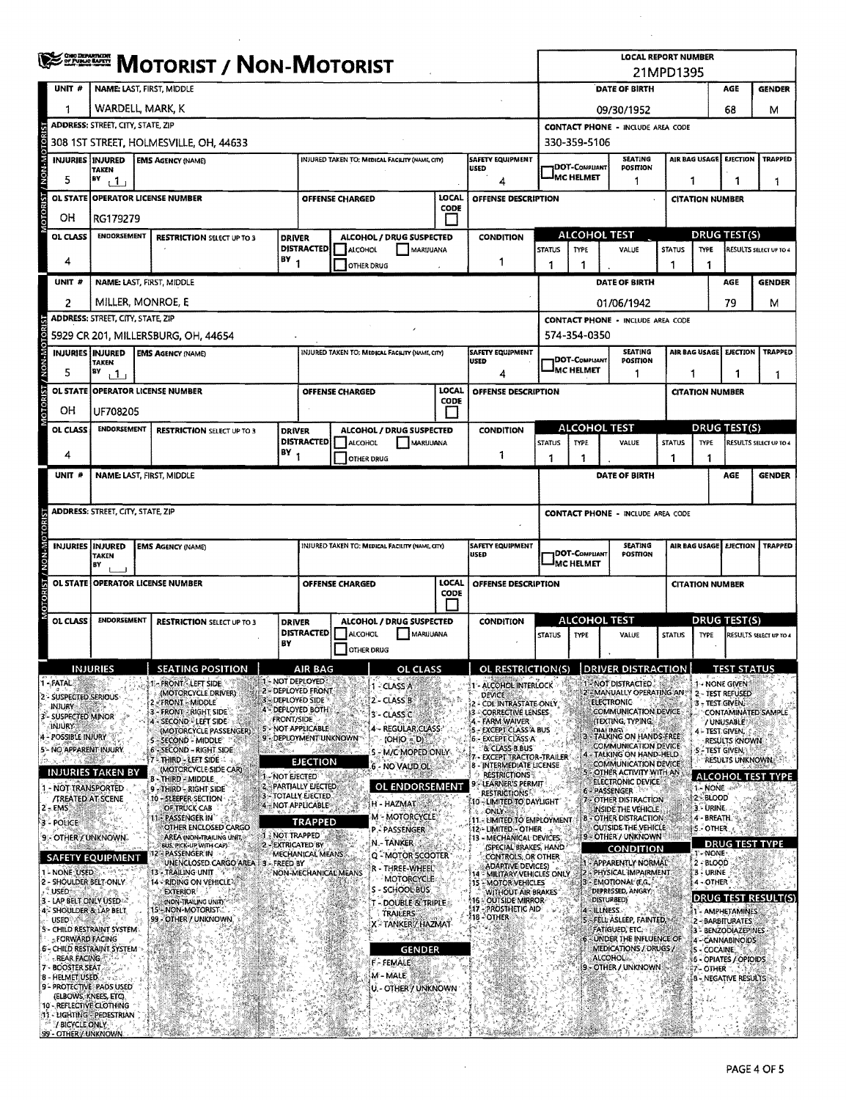|                                      |                                          | ONG DEPARTMENT<br><b>MOTORIST / NON-MOTORIST</b>                                                                                                               |  |                                                                         |                   |                                                             |                        |                   |                                                 |                             | <b>LOCAL REPORT NUMBER</b><br>21MPD1395                              |                                                                               |                                           |                                    |                               |                                                                |                                                     |                              |                                               |                        |
|--------------------------------------|------------------------------------------|----------------------------------------------------------------------------------------------------------------------------------------------------------------|--|-------------------------------------------------------------------------|-------------------|-------------------------------------------------------------|------------------------|-------------------|-------------------------------------------------|-----------------------------|----------------------------------------------------------------------|-------------------------------------------------------------------------------|-------------------------------------------|------------------------------------|-------------------------------|----------------------------------------------------------------|-----------------------------------------------------|------------------------------|-----------------------------------------------|------------------------|
| UNIT #                               |                                          | NAME: LAST, FIRST, MIDDLE                                                                                                                                      |  |                                                                         |                   |                                                             |                        |                   |                                                 |                             |                                                                      |                                                                               | DATE OF BIRTH<br>AGE<br><b>GENDER</b>     |                                    |                               |                                                                |                                                     |                              |                                               |                        |
| 1                                    |                                          | WARDELL, MARK, K                                                                                                                                               |  |                                                                         |                   |                                                             |                        |                   |                                                 |                             | 68<br>09/30/1952                                                     |                                                                               |                                           |                                    |                               |                                                                | м                                                   |                              |                                               |                        |
|                                      |                                          | <b>ADDRESS: STREET, CITY, STATE, ZIP</b>                                                                                                                       |  |                                                                         |                   |                                                             |                        |                   |                                                 |                             |                                                                      |                                                                               | <b>CONTACT PHONE - INCLUDE AREA CODE</b>  |                                    |                               |                                                                |                                                     |                              |                                               |                        |
| <b>OTORI</b>                         |                                          |                                                                                                                                                                |  | 308 1ST STREET, HOLMESVILLE, OH. 44633                                  |                   |                                                             |                        |                   |                                                 |                             |                                                                      |                                                                               |                                           | 330-359-5106                       |                               |                                                                |                                                     |                              |                                               |                        |
| MON-M                                |                                          | <b>INJURIES INJURED</b><br>TAKEN                                                                                                                               |  | <b>EMS AGENCY (NAME)</b>                                                |                   |                                                             |                        |                   | INJURED TAKEN TO: MEDICAL FACILITY (NAME, CITY) |                             | <b>USED</b>                                                          | <b>SAFETY EQUIPMENT</b>                                                       |                                           | DOT-COMPLIANT                      |                               | <b>SEATING</b><br>POSITION                                     |                                                     | AIR BAG USAGE                | <b>EJECTION</b>                               | <b>TRAPPED</b>         |
| 5                                    |                                          | BY<br>1 L I                                                                                                                                                    |  |                                                                         |                   |                                                             |                        |                   |                                                 |                             |                                                                      | 4                                                                             |                                           | <b>MC HELMET</b>                   |                               | 1                                                              |                                                     | 1                            |                                               | 1                      |
|                                      | <b>OL STATE</b>                          |                                                                                                                                                                |  | <b>OPERATOR LICENSE NUMBER</b>                                          |                   |                                                             | <b>OFFENSE CHARGED</b> |                   |                                                 | LOCAL<br>CODE               |                                                                      | <b>OFFENSE DESCRIPTION</b>                                                    |                                           |                                    |                               |                                                                |                                                     |                              | <b>CITATION NUMBER</b>                        |                        |
| OН                                   |                                          | RG179279                                                                                                                                                       |  |                                                                         |                   |                                                             |                        |                   |                                                 |                             |                                                                      |                                                                               |                                           | <b>ALCOHOL TEST</b>                |                               |                                                                |                                                     |                              |                                               |                        |
|                                      | OL CLASS                                 | <b>ENDORSEMENT</b>                                                                                                                                             |  | <b>RESTRICTION SELECT UP TO 3</b>                                       | <b>DRIVER</b>     | <b>DISTRACTED</b>                                           | ALCOHOL                |                   | ALCOHOL / DRUG SUSPECTED<br>MARIJUANA           |                             |                                                                      | <b>CONDITION</b>                                                              | <b>STATUS</b>                             | <b>TYPE</b>                        |                               | VALUE                                                          | <b>DRUG TEST(S)</b><br><b>STATUS</b><br><b>TYPE</b> |                              |                                               | RESULTS SELECT UP TO 4 |
| 4                                    |                                          |                                                                                                                                                                |  |                                                                         | $BY_1$            |                                                             |                        | <b>OTHER DRUG</b> |                                                 |                             |                                                                      | 1                                                                             | 1                                         | 1                                  |                               |                                                                | 1                                                   | 1                            |                                               |                        |
| UNIT #                               |                                          |                                                                                                                                                                |  | NAME: LAST, FIRST, MIDDLE                                               |                   |                                                             |                        |                   |                                                 |                             |                                                                      |                                                                               |                                           |                                    |                               | DATE OF BIRTH                                                  |                                                     |                              | AGE                                           | <b>GENDER</b>          |
| 2                                    |                                          |                                                                                                                                                                |  | MILLER, MONROE, E                                                       |                   |                                                             |                        |                   |                                                 |                             |                                                                      |                                                                               |                                           |                                    |                               | 01/06/1942                                                     |                                                     |                              | 79                                            | м                      |
|                                      |                                          | ADDRESS: STREET, CITY, STATE, ZIP                                                                                                                              |  |                                                                         |                   |                                                             |                        |                   |                                                 |                             |                                                                      |                                                                               |                                           |                                    |                               | <b>CONTACT PHONE - INCLUDE AREA CODE</b>                       |                                                     |                              |                                               |                        |
| <b>BIOR</b>                          |                                          | <b>INJURIES INJURED</b>                                                                                                                                        |  | 5929 CR 201, MILLERSBURG, OH, 44654<br><b>EMS AGENCY (NAME)</b>         |                   |                                                             |                        |                   | INJURED TAKEN TO: MEDICAL FACILITY (NAME, CITY) |                             |                                                                      | <b>SAFETY EQUIPMENT</b>                                                       |                                           | 574-354-0350                       |                               | <b>SEATING</b>                                                 |                                                     |                              |                                               | <b>TRAPPED</b>         |
| <b>MON-M</b><br>5                    |                                          | <b>TAKEN</b><br>87                                                                                                                                             |  |                                                                         |                   |                                                             |                        |                   |                                                 |                             | <b>USED</b>                                                          | 4                                                                             |                                           | DOT-COMPLIANT<br>MC HELMET         |                               | POSITION<br>1                                                  | AIR BAG USAGE EJECTION                              |                              |                                               |                        |
|                                      |                                          | $\frac{1}{1}$                                                                                                                                                  |  | OL STATE OPPERATOR LICENSE NUMBER                                       |                   |                                                             | <b>OFFENSE CHARGED</b> |                   |                                                 | LOCAL                       |                                                                      | OFFENSE DESCRIPTION                                                           |                                           |                                    |                               |                                                                |                                                     | 1                            | 1<br><b>CITATION NUMBER</b>                   | 1                      |
| OН                                   |                                          | UF708205                                                                                                                                                       |  |                                                                         |                   |                                                             |                        |                   |                                                 | <b>CODE</b><br>$\mathbf{I}$ |                                                                      |                                                                               |                                           |                                    |                               |                                                                |                                                     |                              |                                               |                        |
|                                      | OL CLASS                                 | <b>ENDORSEMENT</b>                                                                                                                                             |  | <b>RESTRICTION SELECT UP TO 3</b>                                       | <b>DRIVER</b>     |                                                             |                        |                   | ALCOHOL / DRUG SUSPECTED                        |                             |                                                                      | <b>CONDITION</b>                                                              |                                           | <b>ALCOHOL TEST</b>                |                               |                                                                |                                                     |                              | <b>DRUG TEST(S)</b>                           |                        |
|                                      |                                          |                                                                                                                                                                |  |                                                                         | BY <sub>1</sub>   | <b>DISTRACTED</b>                                           | ALCOHOL                |                   | MARIJUANA                                       |                             |                                                                      |                                                                               | <b>STATUS</b><br><b>TYPE</b><br>VALUE     |                                    |                               |                                                                | <b>STATUS</b><br><b>TYPE</b>                        |                              |                                               | RESULTS SELECT UP TO 4 |
| 4                                    |                                          |                                                                                                                                                                |  |                                                                         |                   |                                                             |                        | <b>OTHER DRUG</b> |                                                 |                             |                                                                      | 1                                                                             | 1                                         | 1                                  |                               |                                                                | 1                                                   | 1                            |                                               |                        |
| UNIT #                               |                                          |                                                                                                                                                                |  | NAME: LAST, FIRST, MIDDLE                                               |                   |                                                             |                        |                   |                                                 |                             |                                                                      |                                                                               |                                           |                                    |                               | DATE OF BIRTH                                                  |                                                     |                              | AGE                                           | <b>GENDER</b>          |
|                                      | <b>ADDRESS: STREET, CITY, STATE, ZIP</b> |                                                                                                                                                                |  |                                                                         |                   |                                                             |                        |                   |                                                 |                             |                                                                      |                                                                               | <b>CONTACT PHONE - INCLUDE AREA CODE</b>  |                                    |                               |                                                                |                                                     |                              |                                               |                        |
|                                      |                                          |                                                                                                                                                                |  |                                                                         |                   |                                                             |                        |                   |                                                 |                             |                                                                      |                                                                               |                                           |                                    |                               | <b>SEATING</b>                                                 |                                                     |                              | <b>EJECTION</b>                               |                        |
| N-N-N                                |                                          | <b>INJURIES INJURED</b><br>INJURED TAKEN TO: MEDICAL FACRITY (NAME, CITY)<br>SAFETY EQUIPMENT<br><b>EMS AGENCY (NAME)</b><br><b>USED</b><br><b>TAKEN</b><br>B٧ |  |                                                                         |                   |                                                             |                        |                   |                                                 |                             | AIR BAG USAGE<br>DOT-Compliant<br>POSTTION<br><sup>J</sup> MC HELMET |                                                                               |                                           |                                    |                               | <b>TRAPPED</b>                                                 |                                                     |                              |                                               |                        |
|                                      |                                          |                                                                                                                                                                |  | OL STATE OPERATOR LICENSE NUMBER                                        |                   | LOCAL<br>OFFENSE DESCRIPTION<br><b>OFFENSE CHARGED</b>      |                        |                   |                                                 |                             |                                                                      | <b>CITATION NUMBER</b>                                                        |                                           |                                    |                               |                                                                |                                                     |                              |                                               |                        |
|                                      |                                          |                                                                                                                                                                |  |                                                                         |                   | CODE                                                        |                        |                   |                                                 |                             |                                                                      |                                                                               |                                           |                                    |                               |                                                                |                                                     |                              |                                               |                        |
|                                      | <b>OL CLASS</b>                          | <b>ENDORSEMENT</b>                                                                                                                                             |  | <b>RESTRICTION SELECT UP TO 3</b>                                       | <b>DRIVER</b>     | <b>DISTRACTED</b>                                           | ALCOHOL                |                   | ALCOHOL / DRUG SUSPECTED<br>MARIJUANA           |                             |                                                                      | CONDITION                                                                     | STATUS                                    | <b>ALCOHOL TEST</b><br><b>TYPE</b> |                               | VALUE                                                          | <b>STATUS</b>                                       | <b>TYPE</b>                  | <b>DRUG TEST(S)</b>                           | RESULTS SELECT UP TO 4 |
|                                      |                                          |                                                                                                                                                                |  |                                                                         | BY                |                                                             |                        | <b>OTHER DRUG</b> |                                                 |                             |                                                                      |                                                                               |                                           |                                    |                               |                                                                |                                                     |                              |                                               |                        |
|                                      |                                          | <b>INJURIES</b>                                                                                                                                                |  | <b>SEATING POSITION</b>                                                 |                   | <b>AIR BAG</b>                                              |                        |                   | OL CLASS                                        |                             |                                                                      | OL RESTRICTION(S)                                                             |                                           |                                    |                               | <b>DRIVER DISTRA</b>                                           |                                                     |                              | IESI SIAIUS                                   |                        |
| 1 - FATAL<br>2 - SUSPECTED SERIOUS   |                                          |                                                                                                                                                                |  | <b>FRONT - LEFT SIDE</b><br>(MOTORCYCLE DRIVER)                         |                   | 1 - NOT DEPLOYED<br>2 - DEPLOYED FRONT<br>3 - DEPLOYED SIDE |                        |                   | 1 - CLASS A<br>2 - CLASS B                      |                             |                                                                      | - ALCOHOL INTERLOCK<br><b>DEVICE</b>                                          |                                           |                                    |                               | 1 - NOT DISTRACTED.<br>2 - MANUALLY OPERATING AN               |                                                     |                              | 1 - NONE GIVEN<br>2 - TEST REFUSED            |                        |
| Injury<br>3- SUSPECTED MINOR         |                                          |                                                                                                                                                                |  | - FRONT - MIDDLE<br>3 - FRONT - RIGHT SIDE'                             | <b>FRONT/SIDE</b> | <b>4 - DEPLOYED BOTH</b>                                    |                        |                   | 3'- CLASS C                                     |                             |                                                                      | 2 - CDL INTRASTATE ONLY<br><b>CORRECTIVE LENSES</b>                           |                                           |                                    | <b>ELECTRONIC</b>             | COMMUNICATION DEVICE                                           |                                                     |                              | 3 - TEST GIVEN.                               | CONTAMINATED SAMPLE    |
| <b>INJURY</b><br>4 - POSSIBLE INJURY |                                          |                                                                                                                                                                |  | 4 - SECOND - LEFT SIDE<br>(MOTORCYCLE PASSENGER)                        |                   | 5 - NOT APPLICABLE<br>9 - DEPLOYMENT UNKNOWN                |                        |                   | 4 - REGULAR CLASS<br>$(OHIO = D)$               |                             |                                                                      | FARM WAIVER<br><b>EXCEPT CLASS A BUS</b><br>6 - EXCEPT CLASS A                |                                           |                                    | mai Inici                     | (TEXTING, TYPING,<br>TALKING ON HANDS-FREE                     |                                                     |                              | / UNUSABLE<br>4 - TEST GIVEN,                 |                        |
|                                      |                                          | 5 - NO APPARENT INJURY                                                                                                                                         |  | 5 - SECOND - MIDDLE<br>6 - SECOND - RIGHT SIDE<br>7 - THIRD - LEFT SIDE |                   |                                                             |                        |                   | <b>5 - M/C MOPED ONLY</b>                       |                             |                                                                      | & CLASS B.BUS<br>EXCEPT TRACTOR-TRAILER                                       |                                           |                                    |                               | <b>COMMUNICATION DEVICE</b><br>4 - TALKING ON HAND-HELD        |                                                     |                              | <b>RESULTS KNOWN</b><br><b>5 - TEST GIVEN</b> |                        |
|                                      |                                          | INJURIES TAKEN BY                                                                                                                                              |  | (MOTORCYCLE SIDE CAR)<br>b - Third - Middle                             | 1 NOT EJECTED     | EJECTION                                                    |                        |                   | 6 - NO VALID OL                                 |                             |                                                                      | 8 - INTERMEDIATE LICENSE<br><b>RESTRICTIONS</b>                               |                                           |                                    |                               | COMMUNICATION DEVICE<br>5 - OTHER ACTIVITY WITH AN             |                                                     |                              | RESULTS UNKNOWN                               | I ALCOHOL TEST TYPE    |
|                                      |                                          | NOT TRANSPORTED<br><b>/TREATED AT SCENE</b>                                                                                                                    |  | 9 - THRD - RIGHT SIDE<br>10 - SLEEPER SECTION                           |                   | <b>Z PARTIALLY EJECTED</b><br>3 - TOTALI Y EJECTED          |                        |                   | OL ENDORSEMENT                                  |                             |                                                                      | LEARNER'S PERMIT<br><b>RESTRICTIONS</b>                                       |                                           |                                    |                               | ELECTRONIC DEVICE<br>6 - PASSENGER<br>7 - OTHER DISTRACTION    |                                                     | 1 - NONE<br><b>2 - BLOOD</b> |                                               |                        |
| $2 - EMS$                            |                                          |                                                                                                                                                                |  | OF TRUCK CAB<br>PASSENGER IN                                            |                   | 4 - NOT APPLICABLE                                          |                        |                   | H - HAZMAT<br>M - MOTORCYCLE                    |                             |                                                                      | 10 - LIMITED TO DAYLIGHT<br><b>S</b> ONLY                                     |                                           | в                                  |                               | INSIDE THE VEHICLE.<br>- OTHER DISTRACTION                     |                                                     | 3 - URINE.<br>4 - BREATH     |                                               |                        |
| 3 - POLICE                           |                                          | 9 - OTHER / UNKNOWN                                                                                                                                            |  | OTHER ENCLOSED CARGO<br><b>AREA (NON-TRAILING UNIT)</b>                 |                   | <b>TRAPPED</b><br><b>J. NOT TRAPPED</b>                     |                        |                   | <b>P.- PASSENGER</b>                            |                             |                                                                      | 11 - LIMITED TO EMPLOYMENT<br>12 - LIMITED - OTHER<br>13 - MECHANICAL DEVICES |                                           |                                    |                               | <b>OUTSIDE THE VEHICLE</b><br>9 - OTHER / UNKNOWN <sup>®</sup> |                                                     | <b>IS-OTHER</b>              |                                               |                        |
|                                      |                                          | SAFETY EQUIPMENT                                                                                                                                               |  | BUS, PICK-UP WITH CAP)<br>2 - PASSENGER IN                              |                   | 2-EXTRICATED BY<br>MECHANICAL MEANS.                        |                        |                   | N - TANKER<br>Q - MOTOR SCOOTER                 |                             |                                                                      | (SPECIAL BRAKES, HAND<br>CONTROLS, OR OTHER                                   |                                           |                                    |                               | CONDITION                                                      |                                                     | 1'- NONE                     | <b>DRUG TEST TYPE</b>                         |                        |
| 1 - NONE USED                        |                                          |                                                                                                                                                                |  | UNENCLOSED CARGO AREA   3 - FREED BY<br>13 - TRAILING UNIT              |                   | NON-MECHANICAL MEANS                                        |                        |                   | R - THREE-WHEEL                                 |                             |                                                                      | <b>ADARTIVE DEVICES)</b><br>4 - MILITARY VEHICLES ONLY                        |                                           |                                    |                               | 1 - APPARENTLY NORMAL<br>2 - PHYSICAL IMPAIRMENT               |                                                     | 2-BLOOD<br>3 - URINE         |                                               |                        |
| : USED :                             |                                          | MOTORCYCLE<br>2 - SHOULDER BELT-ONLY.<br><b>14 - RIDING ON VEHICLE 22</b><br>S - SCHOOL BUS<br><b>EXTERIOR</b>                                                 |  |                                                                         |                   |                                                             |                        |                   | 15 - MOTOR VEHICLES<br>WITHOUT AIR BRAKES       |                             |                                                                      |                                                                               | 3 - EMOTIONAL (E.G.,<br>DEPRESSED, ANGRY, |                                    | 4 - OTHER                     |                                                                | <b>DRUG TEST RESULT(S)</b>                          |                              |                                               |                        |
|                                      |                                          | 3 - LAP BELT ONLY USED<br>4 - SHOULDER & LAP BELT                                                                                                              |  | (NON-TRAILING UNIT)<br>- NON-MOTORIST<br>15,                            |                   |                                                             |                        |                   | - DOUBLE & TRIPLE<br><b>TRAILERS</b>            |                             | 16.                                                                  | - OUTSIDE MIRROR:<br>17 - PROSTHETIC AID<br>18 - OTHER                        |                                           |                                    | <b>DISTURBED)</b><br>ILLNESS. |                                                                |                                                     |                              | 1 - AMPHETAMINES                              |                        |
| <b>USED</b>                          |                                          | 5 - CHILD RESTRAINT SYSTEM                                                                                                                                     |  | 99 - OTHER / UNKNOWN                                                    |                   |                                                             |                        |                   | X - TANKERZ HAZMAT                              |                             |                                                                      |                                                                               |                                           |                                    |                               | (FELL ASLEEP, FAINTED)<br>FATIGUED, ETC.                       |                                                     |                              | 2 - BARBITURATES<br>3 - BENZODIAZEPINES       |                        |
|                                      | - REAR FACING                            | - FORWARD FACING<br><b>6- CHILD RESTRAINT SYSTEM</b>                                                                                                           |  |                                                                         |                   |                                                             |                        |                   | <b>GENDER</b>                                   |                             |                                                                      |                                                                               |                                           |                                    | ALCOHOL:                      | UNDER THE INFLUENCE OF<br>MEDICATIONS / DRUGS /                |                                                     |                              | 4-CANNABINOIDS<br>5 - COCAINE                 |                        |
| 7 - BOOSTER SEAT<br>8 - HELMET USED. |                                          |                                                                                                                                                                |  |                                                                         |                   |                                                             |                        |                   | F - FEMALE<br>M - MALE                          |                             |                                                                      |                                                                               |                                           |                                    |                               | - OTHER / UNKNOWN                                              |                                                     | 7 - OTHER                    | 6 - OPIATES / OPIOIDS                         |                        |
|                                      |                                          | 9 - PROTECTIVE PADS USED<br>(ELBOWS, KNEES, ETC).                                                                                                              |  |                                                                         |                   |                                                             |                        |                   | U. - OTHER'Y UNKNOWN                            |                             |                                                                      |                                                                               |                                           |                                    |                               |                                                                |                                                     |                              | 8 - NEGATIVE RESULTS                          |                        |
|                                      |                                          | 10 - REFLECTIVE CLOTHING<br>11 - LIGHTING - PEDESTRIAN                                                                                                         |  |                                                                         |                   |                                                             |                        |                   |                                                 |                             |                                                                      |                                                                               |                                           |                                    |                               |                                                                |                                                     |                              |                                               |                        |
|                                      | <b>J BICYCLE ONLY</b>                    | 99 - OTHER / UNKNOWN                                                                                                                                           |  |                                                                         |                   |                                                             |                        |                   |                                                 |                             |                                                                      |                                                                               |                                           |                                    |                               |                                                                |                                                     |                              |                                               |                        |

 $\sim$   $\sim$ 

 $\bar{\lambda}$ 

 $\mathcal{L}_{\mathcal{A}}$  $\mathcal{L}_{\mathcal{A}}$